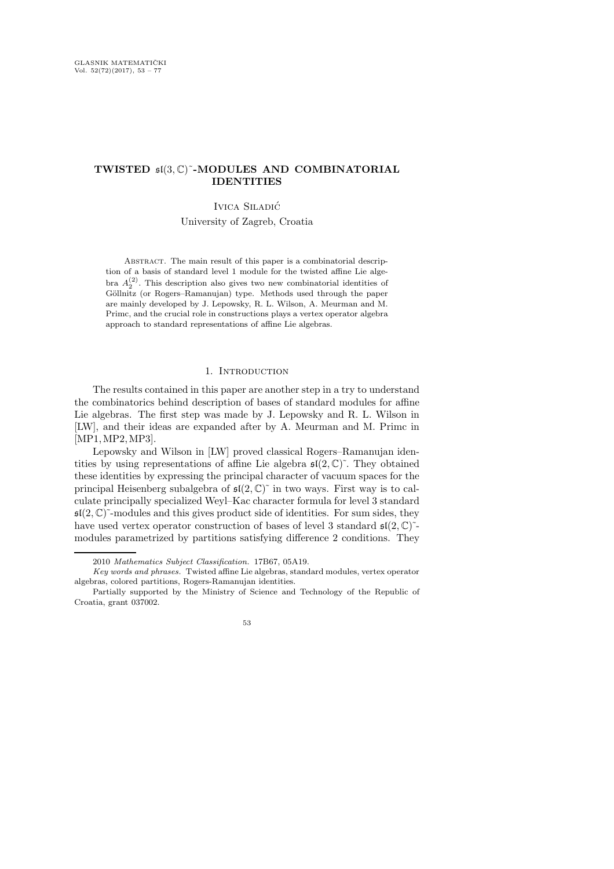## TWISTED  $\mathfrak{sl}(3,\mathbb{C})^{\sim}$ -MODULES AND COMBINATORIAL IDENTITIES

## Ivica Siladic´

University of Zagreb, Croatia

ABSTRACT. The main result of this paper is a combinatorial description of a basis of standard level 1 module for the twisted affine Lie algebra  $A_2^{(2)}$ . This description also gives two new combinatorial identities of Göllnitz (or Rogers–Ramanujan) type. Methods used through the paper are mainly developed by J. Lepowsky, R. L. Wilson, A. Meurman and M. Primc, and the crucial role in constructions plays a vertex operator algebra approach to standard representations of affine Lie algebras.

### 1. Introduction

The results contained in this paper are another step in a try to understand the combinatorics behind description of bases of standard modules for affine Lie algebras. The first step was made by J. Lepowsky and R. L. Wilson in [LW], and their ideas are expanded after by A. Meurman and M. Primc in [MP1,MP2,MP3].

Lepowsky and Wilson in [LW] proved classical Rogers–Ramanujan identities by using representations of affine Lie algebra  $\mathfrak{sl}(2,\mathbb{C})^{\sim}$ . They obtained these identities by expressing the principal character of vacuum spaces for the principal Heisenberg subalgebra of  $\mathfrak{sl}(2,\mathbb{C})^{\sim}$  in two ways. First way is to calculate principally specialized Weyl–Kac character formula for level 3 standard  $\mathfrak{sl}(2,\mathbb{C})^{\sim}$ -modules and this gives product side of identities. For sum sides, they have used vertex operator construction of bases of level 3 standard  $\mathfrak{sl}(2,\mathbb{C})^{\sim}$ modules parametrized by partitions satisfying difference 2 conditions. They

<sup>2010</sup> Mathematics Subject Classification. 17B67, 05A19.

Key words and phrases. Twisted affine Lie algebras, standard modules, vertex operator algebras, colored partitions, Rogers-Ramanujan identities.

Partially supported by the Ministry of Science and Technology of the Republic of Croatia, grant 037002.

<sup>53</sup>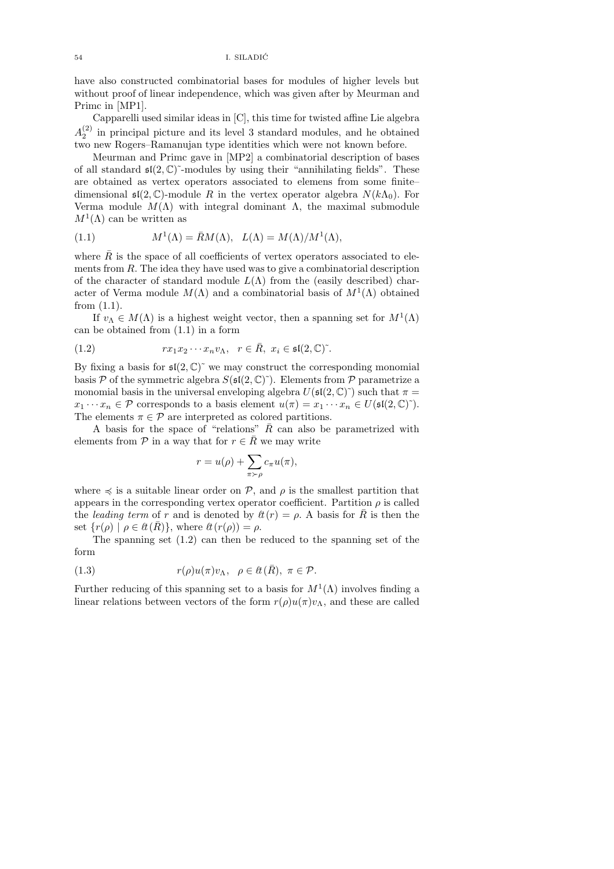have also constructed combinatorial bases for modules of higher levels but without proof of linear independence, which was given after by Meurman and Primc in [MP1].

Capparelli used similar ideas in [C], this time for twisted affine Lie algebra  $A_2^{(2)}$  in principal picture and its level 3 standard modules, and he obtained two new Rogers–Ramanujan type identities which were not known before.

Meurman and Primc gave in [MP2] a combinatorial description of bases of all standard  $\mathfrak{sl}(2,\mathbb{C})^{\sim}$ -modules by using their "annihilating fields". These are obtained as vertex operators associated to elemens from some finite– dimensional  $\mathfrak{sl}(2,\mathbb{C})$ -module R in the vertex operator algebra  $N(k\Lambda_0)$ . For Verma module  $M(\Lambda)$  with integral dominant  $\Lambda$ , the maximal submodule  $M^1(\Lambda)$  can be written as

(1.1) 
$$
M^{1}(\Lambda) = \bar{R}M(\Lambda), \quad L(\Lambda) = M(\Lambda)/M^{1}(\Lambda),
$$

where  $\bar{R}$  is the space of all coefficients of vertex operators associated to elements from R. The idea they have used was to give a combinatorial description of the character of standard module  $L(\Lambda)$  from the (easily described) character of Verma module  $M(\Lambda)$  and a combinatorial basis of  $M^1(\Lambda)$  obtained from (1.1).

If  $v_{\Lambda} \in M(\Lambda)$  is a highest weight vector, then a spanning set for  $M^1(\Lambda)$ can be obtained from (1.1) in a form

(1.2) 
$$
rx_1x_2\cdots x_nv_{\Lambda}, \ \ r\in\bar{R}, \ x_i\in\mathfrak{sl}(2,\mathbb{C})^{\tilde{}}.
$$

By fixing a basis for  $\mathfrak{sl}(2,\mathbb{C})^{\sim}$  we may construct the corresponding monomial basis  $P$  of the symmetric algebra  $S(\mathfrak{sl}(2,\mathbb{C})^{\sim})$ . Elements from  $P$  parametrize a monomial basis in the universal enveloping algebra  $U(\mathfrak{sl}(2,\mathbb{C})^{\sim})$  such that  $\pi =$  $x_1 \cdots x_n \in \mathcal{P}$  corresponds to a basis element  $u(\pi) = x_1 \cdots x_n \in U(\mathfrak{sl}(2,\mathbb{C})^{\sim}).$ The elements  $\pi \in \mathcal{P}$  are interpreted as colored partitions.

A basis for the space of "relations"  $\overline{R}$  can also be parametrized with elements from  $P$  in a way that for  $r \in \overline{R}$  we may write

$$
r = u(\rho) + \sum_{\pi \succ \rho} c_{\pi} u(\pi),
$$

where  $\preccurlyeq$  is a suitable linear order on  $P$ , and  $\rho$  is the smallest partition that appears in the corresponding vertex operator coefficient. Partition  $\rho$  is called the leading term of r and is denoted by  $\ell(r) = \rho$ . A basis for  $\bar{R}$  is then the set  $\{r(\rho) \mid \rho \in \ell^t(\bar{R})\}$ , where  $\ell^t(r(\rho)) = \rho$ .

The spanning set (1.2) can then be reduced to the spanning set of the form

(1.3) 
$$
r(\rho)u(\pi)v_{\Lambda}, \ \ \rho \in \ell \mathfrak{k}(\bar{R}), \ \pi \in \mathcal{P}.
$$

Further reducing of this spanning set to a basis for  $M^1(\Lambda)$  involves finding a linear relations between vectors of the form  $r(\rho)u(\pi)v_{\Lambda}$ , and these are called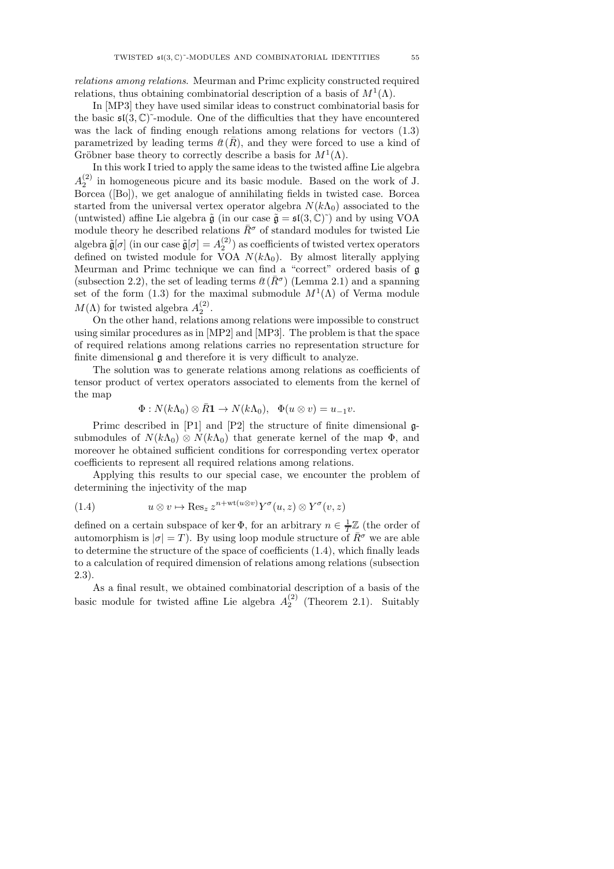relations among relations. Meurman and Primc explicity constructed required relations, thus obtaining combinatorial description of a basis of  $M^1(\Lambda)$ .

In [MP3] they have used similar ideas to construct combinatorial basis for the basic  $\mathfrak{sl}(3,\mathbb{C})^{\sim}$ -module. One of the difficulties that they have encountered was the lack of finding enough relations among relations for vectors (1.3) parametrized by leading terms  $\ell(\bar{R})$ , and they were forced to use a kind of Gröbner base theory to correctly describe a basis for  $M^1(\Lambda)$ .

In this work I tried to apply the same ideas to the twisted affine Lie algebra  $A_2^{(2)}$  in homogeneous picure and its basic module. Based on the work of J. Borcea ([Bo]), we get analogue of annihilating fields in twisted case. Borcea started from the universal vertex operator algebra  $N(k\Lambda_0)$  associated to the (untwisted) affine Lie algebra  $\tilde{\mathfrak{g}}$  (in our case  $\tilde{\mathfrak{g}} = \mathfrak{sl}(3, \mathbb{C})^{\sim}$ ) and by using VOA module theory he described relations  $\bar{R}^{\sigma}$  of standard modules for twisted Lie algebra  $\tilde{\mathfrak{g}}[\sigma]$  (in our case  $\tilde{\mathfrak{g}}[\sigma] = A_2^{(2)}$ ) as coefficients of twisted vertex operators defined on twisted module for VOA  $N(k\Lambda_0)$ . By almost literally applying Meurman and Primc technique we can find a "correct" ordered basis of  $\mathfrak a$ (subsection 2.2), the set of leading terms  $\ell(\bar{R}^{\sigma})$  (Lemma 2.1) and a spanning set of the form (1.3) for the maximal submodule  $M^1(\Lambda)$  of Verma module  $M(\Lambda)$  for twisted algebra  $A_2^{(2)}$ .

On the other hand, relations among relations were impossible to construct using similar procedures as in [MP2] and [MP3]. The problem is that the space of required relations among relations carries no representation structure for finite dimensional g and therefore it is very difficult to analyze.

The solution was to generate relations among relations as coefficients of tensor product of vertex operators associated to elements from the kernel of the map

$$
\Phi: N(k\Lambda_0)\otimes \bar{R}\mathbf{1}\to N(k\Lambda_0),\ \ \Phi(u\otimes v)=u_{-1}v.
$$

Primc described in [P1] and [P2] the structure of finite dimensional gsubmodules of  $N(k\Lambda_0) \otimes N(k\Lambda_0)$  that generate kernel of the map  $\Phi$ , and moreover he obtained sufficient conditions for corresponding vertex operator coefficients to represent all required relations among relations.

Applying this results to our special case, we encounter the problem of determining the injectivity of the map

(1.4) 
$$
u \otimes v \mapsto \operatorname{Res}_{z} z^{n+\operatorname{wt}(u \otimes v)} Y^{\sigma}(u, z) \otimes Y^{\sigma}(v, z)
$$

defined on a certain subspace of ker  $\Phi$ , for an arbitrary  $n \in \frac{1}{T} \mathbb{Z}$  (the order of automorphism is  $|\sigma| = T$ ). By using loop module structure of  $\overline{R}^{\sigma}$  we are able to determine the structure of the space of coefficients (1.4), which finally leads to a calculation of required dimension of relations among relations (subsection 2.3).

As a final result, we obtained combinatorial description of a basis of the basic module for twisted affine Lie algebra  $A_2^{(2)}$  (Theorem 2.1). Suitably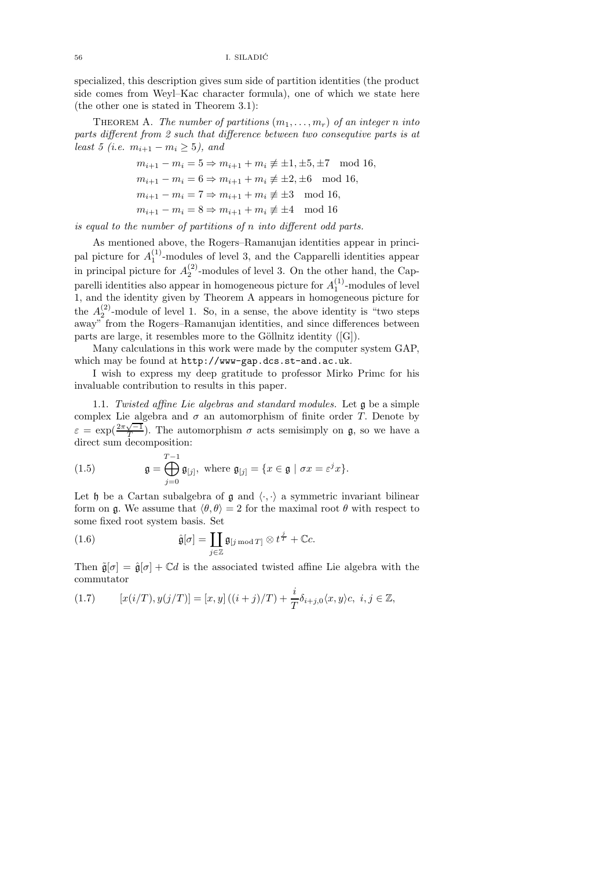specialized, this description gives sum side of partition identities (the product side comes from Weyl–Kac character formula), one of which we state here (the other one is stated in Theorem 3.1):

THEOREM A. The number of partitions  $(m_1, \ldots, m_r)$  of an integer n into parts different from 2 such that difference between two consequtive parts is at least 5 (i.e.  $m_{i+1} - m_i \ge 5$ ), and

$$
m_{i+1} - m_i = 5 \Rightarrow m_{i+1} + m_i \not\equiv \pm 1, \pm 5, \pm 7 \mod 16,
$$
  
\n
$$
m_{i+1} - m_i = 6 \Rightarrow m_{i+1} + m_i \not\equiv \pm 2, \pm 6 \mod 16,
$$
  
\n
$$
m_{i+1} - m_i = 7 \Rightarrow m_{i+1} + m_i \not\equiv \pm 3 \mod 16,
$$
  
\n
$$
m_{i+1} - m_i = 8 \Rightarrow m_{i+1} + m_i \not\equiv \pm 4 \mod 16
$$

is equal to the number of partitions of n into different odd parts.

As mentioned above, the Rogers–Ramanujan identities appear in principal picture for  $A_1^{(1)}$ -modules of level 3, and the Capparelli identities appear in principal picture for  $A_2^{(2)}$ -modules of level 3. On the other hand, the Capparelli identities also appear in homogeneous picture for  $A_1^{(1)}$ -modules of level 1, and the identity given by Theorem A appears in homogeneous picture for the  $A_2^{(2)}$ -module of level 1. So, in a sense, the above identity is "two steps away" from the Rogers–Ramanujan identities, and since differences between parts are large, it resembles more to the Göllnitz identity  $([G])$ .

Many calculations in this work were made by the computer system GAP, which may be found at http://www-gap.dcs.st-and.ac.uk.

I wish to express my deep gratitude to professor Mirko Primc for his invaluable contribution to results in this paper.

1.1. Twisted affine Lie algebras and standard modules. Let g be a simple complex Lie algebra and  $\sigma$  an automorphism of finite order T. Denote by  $\varepsilon = \exp(\frac{2\pi\sqrt{-1}}{T})$ . The automorphism  $\sigma$  acts semisimply on  $\mathfrak{g}$ , so we have a direct sum decomposition:

(1.5) 
$$
\mathfrak{g} = \bigoplus_{j=0}^{T-1} \mathfrak{g}_{[j]}, \text{ where } \mathfrak{g}_{[j]} = \{x \in \mathfrak{g} \mid \sigma x = \varepsilon^j x\}.
$$

Let h be a Cartan subalgebra of  $\mathfrak g$  and  $\langle \cdot, \cdot \rangle$  a symmetric invariant bilinear form on g. We assume that  $\langle \theta, \theta \rangle = 2$  for the maximal root  $\theta$  with respect to some fixed root system basis. Set

(1.6) 
$$
\hat{\mathfrak{g}}[\sigma] = \coprod_{j \in \mathbb{Z}} \mathfrak{g}_{[j \bmod T]} \otimes t^{\frac{j}{T}} + \mathbb{C}c.
$$

Then  $\tilde{\mathfrak{g}}[\sigma] = \hat{\mathfrak{g}}[\sigma] + \mathbb{C}d$  is the associated twisted affine Lie algebra with the commutator

(1.7) 
$$
[x(i/T), y(j/T)] = [x, y] ((i + j)/T) + \frac{i}{T} \delta_{i+j,0} \langle x, y \rangle c, \ i, j \in \mathbb{Z},
$$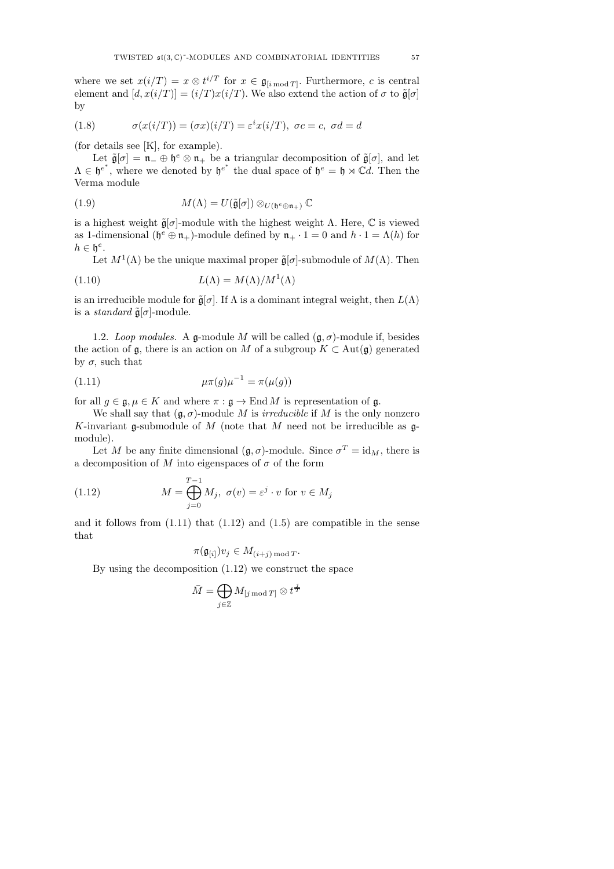where we set  $x(i/T) = x \otimes t^{i/T}$  for  $x \in \mathfrak{g}_{[i \bmod T]}$ . Furthermore, c is central element and  $[d, x(i/T)] = (i/T)x(i/T)$ . We also extend the action of  $\sigma$  to  $\tilde{\mathfrak{g}}[\sigma]$ by

(1.8) 
$$
\sigma(x(i/T)) = (\sigma x)(i/T) = \varepsilon^i x(i/T), \ \sigma c = c, \ \sigma d = d
$$

(for details see [K], for example).

Let  $\tilde{\mathfrak{g}}[\sigma] = \mathfrak{n}_-\oplus \mathfrak{h}^e \otimes \mathfrak{n}_+$  be a triangular decomposition of  $\tilde{\mathfrak{g}}[\sigma]$ , and let  $\Lambda \in \mathfrak{h}^{e^*}$ , where we denoted by  $\mathfrak{h}^{e^*}$  the dual space of  $\mathfrak{h}^e = \mathfrak{h} \rtimes \mathbb{C}d$ . Then the Verma module

(1.9) 
$$
M(\Lambda) = U(\tilde{\mathfrak{g}}[\sigma]) \otimes_{U(\mathfrak{h}^e \oplus \mathfrak{n}_+)} \mathbb{C}
$$

is a highest weight  $\tilde{\mathfrak{a}}[\sigma]$ -module with the highest weight  $\Lambda$ . Here,  $\mathbb C$  is viewed as 1-dimensional  $(\mathfrak{h}^e \oplus \mathfrak{n}_+)$ -module defined by  $\mathfrak{n}_+ \cdot 1 = 0$  and  $h \cdot 1 = \Lambda(h)$  for  $h \in \mathfrak{h}^e$ .

Let  $M^1(\Lambda)$  be the unique maximal proper  $\tilde{\mathfrak{g}}[\sigma]$ -submodule of  $M(\Lambda)$ . Then

(1.10) 
$$
L(\Lambda) = M(\Lambda)/M^1(\Lambda)
$$

is an irreducible module for  $\tilde{\mathfrak{g}}[\sigma]$ . If  $\Lambda$  is a dominant integral weight, then  $L(\Lambda)$ is a *standard*  $\tilde{\mathfrak{g}}[\sigma]$ -module.

1.2. Loop modules. A g-module M will be called  $(\mathfrak{g}, \sigma)$ -module if, besides the action of  $\mathfrak{g}$ , there is an action on M of a subgroup  $K \subset \text{Aut}(\mathfrak{g})$  generated by  $\sigma$ , such that

(1.11) 
$$
\mu \pi(g) \mu^{-1} = \pi(\mu(g))
$$

for all  $g \in \mathfrak{g}, \mu \in K$  and where  $\pi : \mathfrak{g} \to \text{End } M$  is representation of  $\mathfrak{g}$ .

We shall say that  $(q, \sigma)$ -module M is *irreducible* if M is the only nonzero K-invariant g-submodule of M (note that M need not be irreducible as  $g$ module).

Let M be any finite dimensional  $(\mathfrak{g}, \sigma)$ -module. Since  $\sigma^T = id_M$ , there is a decomposition of M into eigenspaces of  $\sigma$  of the form

(1.12) 
$$
M = \bigoplus_{j=0}^{T-1} M_j, \ \sigma(v) = \varepsilon^j \cdot v \text{ for } v \in M_j
$$

and it follows from  $(1.11)$  that  $(1.12)$  and  $(1.5)$  are compatible in the sense that

$$
\pi(\mathfrak{g}_{[i]})v_j\in M_{(i+j)\bmod T}.
$$

By using the decomposition (1.12) we construct the space

$$
\bar{M} = \bigoplus_{j \in \mathbb{Z}} M_{[j \text{ mod } T]} \otimes t^{\frac{j}{T}}
$$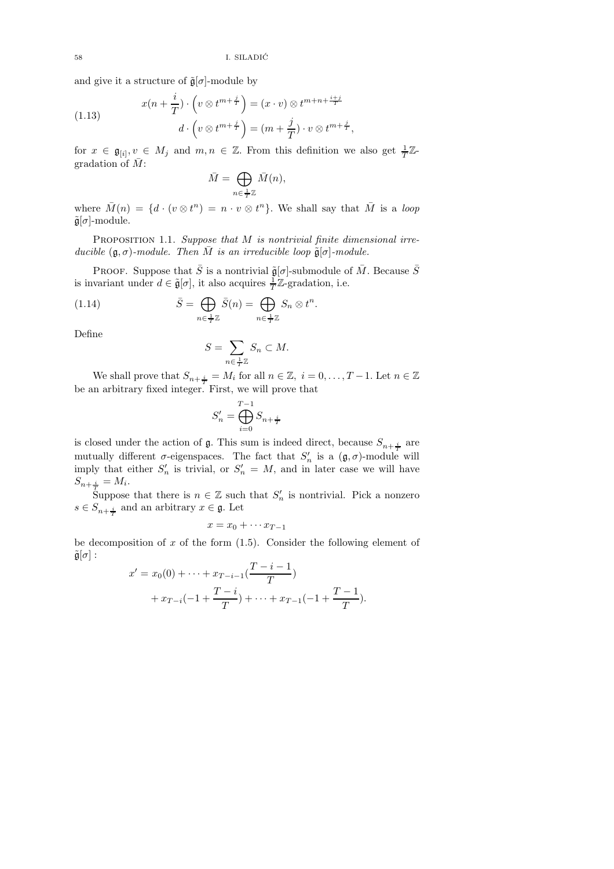and give it a structure of  $\tilde{\mathfrak{g}}[\sigma]$ -module by

(1.13) 
$$
x(n+\frac{i}{T}) \cdot \left(v \otimes t^{m+\frac{j}{T}}\right) = (x \cdot v) \otimes t^{m+n+\frac{i+j}{T}}
$$

$$
d \cdot \left(v \otimes t^{m+\frac{j}{T}}\right) = (m+\frac{j}{T}) \cdot v \otimes t^{m+\frac{j}{T}},
$$

for  $x \in \mathfrak{g}_{[i]}, v \in M_j$  and  $m, n \in \mathbb{Z}$ . From this definition we also get  $\frac{1}{T}\mathbb{Z}$ gradation of  $\overline{M}$ :

$$
\bar{M} = \bigoplus_{n \in \frac{1}{T}\mathbb{Z}} \bar{M}(n),
$$

where  $\overline{M}(n) = \{d \cdot (v \otimes t^n) = n \cdot v \otimes t^n\}$ . We shall say that  $\overline{M}$  is a loop  $\tilde{\mathfrak{g}}[\sigma]$ -module.

PROPOSITION 1.1. Suppose that M is nontrivial finite dimensional irreducible  $(\mathfrak{g}, \sigma)$ -module. Then  $\overline{M}$  is an irreducible loop  $\tilde{\mathfrak{g}}[\sigma]$ -module.

PROOF. Suppose that  $\bar{S}$  is a nontrivial  $\tilde{\mathfrak{g}}[\sigma]$ -submodule of  $\bar{M}$ . Because  $\bar{S}$ is invariant under  $d \in \tilde{\mathfrak{g}}[\sigma]$ , it also acquires  $\frac{1}{T}\mathbb{Z}$ -gradation, i.e.

(1.14) 
$$
\bar{S} = \bigoplus_{n \in \frac{1}{T}} \bar{S}(n) = \bigoplus_{n \in \frac{1}{T}} S_n \otimes t^n.
$$

Define

$$
S = \sum_{n \in \frac{1}{T}\mathbb{Z}} S_n \subset M.
$$

We shall prove that  $S_{n+\frac{i}{T}} = M_i$  for all  $n \in \mathbb{Z}$ ,  $i = 0, \ldots, T-1$ . Let  $n \in \mathbb{Z}$ be an arbitrary fixed integer. First, we will prove that

$$
S'_n = \bigoplus_{i=0}^{T-1} S_{n+\frac{i}{T}}
$$

is closed under the action of  $\mathfrak g$ . This sum is indeed direct, because  $S_{n+\frac{i}{T}}$  are mutually different  $\sigma$ -eigenspaces. The fact that  $S'_n$  is a  $(\mathfrak{g}, \sigma)$ -module will imply that either  $S'_n$  is trivial, or  $S'_n = M$ , and in later case we will have  $S_{n+\frac{i}{T}} = M_i.$ 

Suppose that there is  $n \in \mathbb{Z}$  such that  $S'_n$  is nontrivial. Pick a nonzero  $s \in S_{n+\frac{i}{T}}$  and an arbitrary  $x \in \mathfrak{g}$ . Let

$$
x = x_0 + \cdots x_{T-1}
$$

be decomposition of x of the form  $(1.5)$ . Consider the following element of  $\tilde{\mathfrak{g}}[\sigma]$  :

$$
x' = x_0(0) + \dots + x_{T-i-1}(\frac{T-i-1}{T})
$$
  
+ 
$$
x_{T-i}(-1 + \frac{T-i}{T}) + \dots + x_{T-1}(-1 + \frac{T-1}{T}).
$$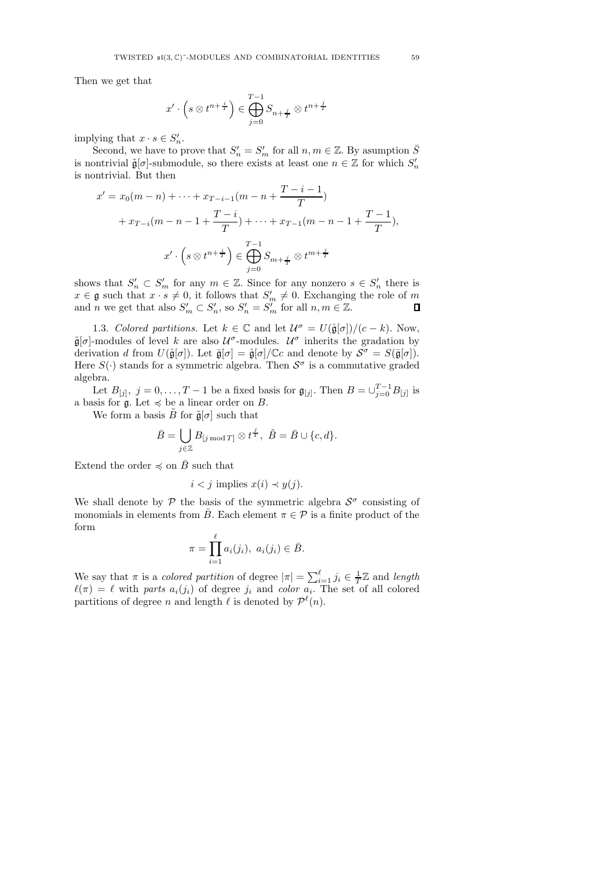Then we get that

$$
x'\cdot\Big(s\otimes t^{n+\frac{i}{T}}\Big)\in\bigoplus_{j=0}^{T-1}S_{n+\frac{j}{T}}\otimes t^{n+\frac{j}{T}}
$$

implying that  $x \cdot s \in S_n'$ .

Second, we have to prove that  $S'_n = S'_m$  for all  $n, m \in \mathbb{Z}$ . By asumption  $\overline{S}$ is nontrivial  $\tilde{\mathfrak{g}}[\sigma]$ -submodule, so there exists at least one  $n \in \mathbb{Z}$  for which  $S'_n$ is nontrivial. But then

$$
x' = x_0(m - n) + \dots + x_{T-i-1}(m - n + \frac{T - i - 1}{T})
$$
  
+  $x_{T-i}(m - n - 1 + \frac{T - i}{T}) + \dots + x_{T-1}(m - n - 1 + \frac{T - 1}{T}),$   

$$
x' \cdot \left(s \otimes t^{n + \frac{i}{T}}\right) \in \bigoplus_{j=0}^{T-1} S_{m + \frac{j}{T}} \otimes t^{m + \frac{j}{T}}
$$

shows that  $S'_n \subset S'_m$  for any  $m \in \mathbb{Z}$ . Since for any nonzero  $s \in S'_n$  there is  $x \in \mathfrak{g}$  such that  $x \cdot s \neq 0$ , it follows that  $S'_m \neq 0$ . Exchanging the role of m and *n* we get that also  $S'_m \subset S'_n$ , so  $S'_n = S'_m$  for all  $n, m \in \mathbb{Z}$ .

1.3. Colored partitions. Let  $k \in \mathbb{C}$  and let  $\mathcal{U}^{\sigma} = U(\hat{\mathfrak{g}}[\sigma])/(c-k)$ . Now,  $\tilde{\mathfrak{g}}[\sigma]$ -modules of level k are also  $\mathcal{U}^{\sigma}$ -modules.  $\mathcal{U}^{\sigma}$  inherits the gradation by derivation d from  $U(\hat{\mathfrak{g}}[\sigma])$ . Let  $\bar{\mathfrak{g}}[\sigma] = \hat{\mathfrak{g}}[\sigma]/\mathbb{C}c$  and denote by  $\mathcal{S}^{\sigma} = S(\bar{\mathfrak{g}}[\sigma])$ . Here  $S(\cdot)$  stands for a symmetric algebra. Then  $S^{\sigma}$  is a commutative graded algebra.

Let  $B_{[j]}, \, j = 0, \ldots, T-1$  be a fixed basis for  $\mathfrak{g}_{[j]}$ . Then  $B = \cup_{j=0}^{T-1} B_{[j]}$  is a basis for  $\mathfrak{g}$ . Let  $\preccurlyeq$  be a linear order on B.

We form a basis  $\tilde{B}$  for  $\tilde{\mathfrak{g}}[\sigma]$  such that

$$
\bar{B} = \bigcup_{j \in \mathbb{Z}} B_{[j \bmod T]} \otimes t^{\frac{j}{T}}, \ \tilde{B} = \bar{B} \cup \{c, d\}.
$$

Extend the order  $\preccurlyeq$  on  $\bar{B}$  such that

$$
i < j \text{ implies } x(i) \prec y(j).
$$

We shall denote by  $P$  the basis of the symmetric algebra  $S^{\sigma}$  consisting of monomials in elements from  $\bar{B}$ . Each element  $\pi \in \mathcal{P}$  is a finite product of the form

$$
\pi = \prod_{i=1}^{\ell} a_i(j_i), \ a_i(j_i) \in \overline{B}.
$$

We say that  $\pi$  is a *colored partition* of degree  $|\pi| = \sum_{i=1}^{\ell} j_i \in \frac{1}{T} \mathbb{Z}$  and length  $\ell(\pi) = \ell$  with parts  $a_i(j_i)$  of degree  $j_i$  and color  $a_i$ . The set of all colored partitions of degree *n* and length  $\ell$  is denoted by  $\mathcal{P}^{\ell}(n)$ .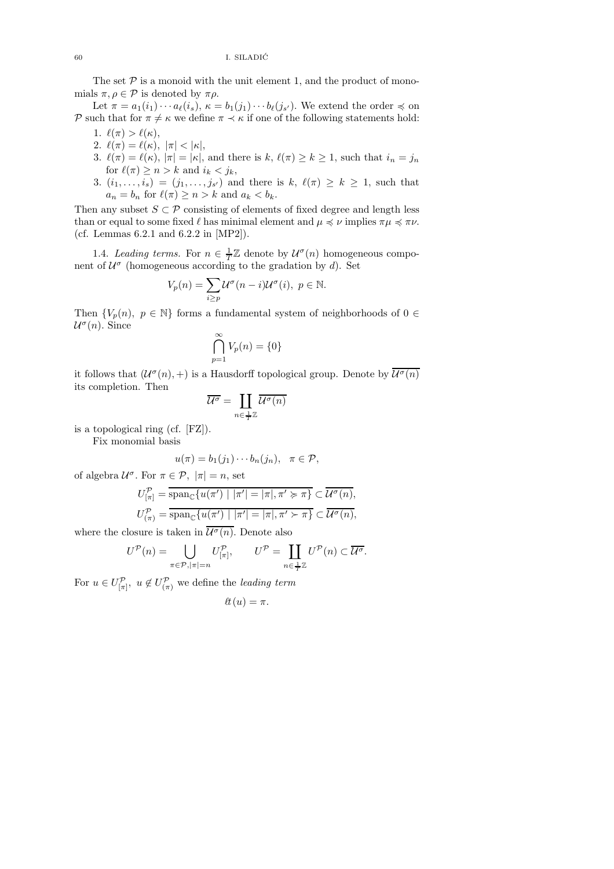The set  $P$  is a monoid with the unit element 1, and the product of monomials  $\pi, \rho \in \mathcal{P}$  is denoted by  $\pi \rho$ .

Let  $\pi = a_1(i_1) \cdots a_\ell(i_s)$ ,  $\kappa = b_1(j_1) \cdots b_\ell(j_{s'})$ . We extend the order  $\preccurlyeq$  on P such that for  $\pi \neq \kappa$  we define  $\pi \prec \kappa$  if one of the following statements hold:

- 1.  $\ell(\pi) > \ell(\kappa)$ ,
- 2.  $\ell(\pi) = \ell(\kappa), |\pi| < |\kappa|,$
- 3.  $\ell(\pi) = \ell(\kappa)$ ,  $|\pi| = |\kappa|$ , and there is  $k, \ell(\pi) \geq k \geq 1$ , such that  $i_n = j_n$ for  $\ell(\pi) \geq n > k$  and  $i_k < j_k$ ,
- 3.  $(i_1, \ldots, i_s) = (j_1, \ldots, j_{s'})$  and there is  $k, \ell(\pi) \geq k \geq 1$ , such that  $a_n = b_n$  for  $\ell(\pi) \geq n > k$  and  $a_k < b_k$ .

Then any subset  $S \subset \mathcal{P}$  consisting of elements of fixed degree and length less than or equal to some fixed  $\ell$  has minimal element and  $\mu \preccurlyeq \nu$  implies  $\pi \mu \preccurlyeq \pi \nu$ . (cf. Lemmas 6.2.1 and 6.2.2 in [MP2]).

1.4. Leading terms. For  $n \in \frac{1}{T}\mathbb{Z}$  denote by  $\mathcal{U}^{\sigma}(n)$  homogeneous component of  $\mathcal{U}^{\sigma}$  (homogeneous according to the gradation by d). Set

$$
V_p(n) = \sum_{i \ge p} \mathcal{U}^{\sigma}(n-i)\mathcal{U}^{\sigma}(i), \ p \in \mathbb{N}.
$$

Then  $\{V_p(n), p \in \mathbb{N}\}\)$  forms a fundamental system of neighborhoods of  $0 \in$  $\mathcal{U}^{\sigma}(n)$ . Since

$$
\bigcap_{p=1}^{\infty} V_p(n) = \{0\}
$$

it follows that  $(U^{\sigma}(n), +)$  is a Hausdorff topological group. Denote by  $\overline{U^{\sigma}(n)}$ its completion. Then

$$
\overline{\mathcal{U}^{\sigma}} = \coprod_{n \in \frac{1}{T}\mathbb{Z}} \overline{\mathcal{U}^{\sigma}(n)}
$$

is a topological ring (cf. [FZ]).

Fix monomial basis

$$
u(\pi) = b_1(j_1)\cdots b_n(j_n), \quad \pi \in \mathcal{P},
$$

of algebra  $\mathcal{U}^{\sigma}$ . For  $\pi \in \mathcal{P}, |\pi| = n$ , set

$$
U_{[\pi]}^{\mathcal{P}} = \overline{\operatorname{span}_{\mathbb{C}}\{u(\pi') \mid |\pi'| = |\pi|, \pi' \succcurlyeq \pi\}} \subset \overline{\mathcal{U}^{\sigma}(n)},
$$
  

$$
U_{(\pi)}^{\mathcal{P}} = \overline{\operatorname{span}_{\mathbb{C}}\{u(\pi') \mid |\pi'| = |\pi|, \pi' \succ \pi\}} \subset \overline{\mathcal{U}^{\sigma}(n)},
$$

where the closure is taken in  $\overline{\mathcal{U}^{\sigma}(n)}$ . Denote also

$$
U^{\mathcal{P}}(n) = \bigcup_{\pi \in \mathcal{P}, |\pi| = n} U_{[\pi]}^{\mathcal{P}}, \qquad U^{\mathcal{P}} = \coprod_{n \in \frac{1}{T}\mathbb{Z}} U^{\mathcal{P}}(n) \subset \overline{\mathcal{U}^{\sigma}}.
$$

For  $u \in U^{\mathcal{P}}_{[\pi]}$ ,  $u \notin U^{\mathcal{P}}_{(\pi)}$  we define the leading term

$$
\ell\hspace{-0.1cm}t\hspace{-0.1cm}(u)=\pi.
$$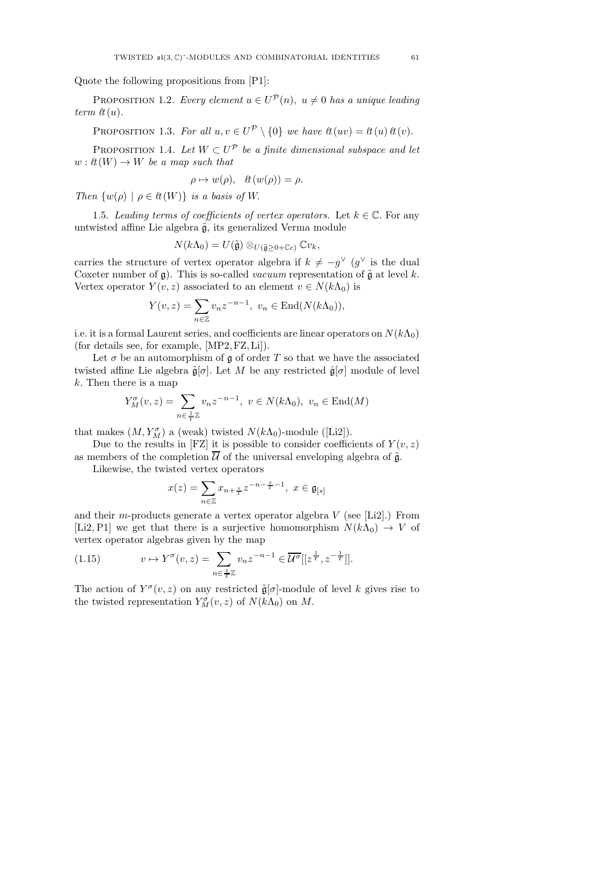Quote the following propositions from [P1]:

PROPOSITION 1.2. Every element  $u \in U^{\mathcal{P}}(n)$ ,  $u \neq 0$  has a unique leading term  $\ell t(u)$ .

PROPOSITION 1.3. For all  $u, v \in U^{\mathcal{P}} \setminus \{0\}$  we have  $\ell t(uv) = \ell t(u) \ell t(v)$ .

PROPOSITION 1.4. Let  $W \subset U^{\mathcal{P}}$  be a finite dimensional subspace and let  $w: \ell t(W) \to W$  be a map such that

$$
\rho \mapsto w(\rho), \quad \text{lt}(w(\rho)) = \rho.
$$

Then  $\{w(\rho) \mid \rho \in \ell^1(W)\}\$ is a basis of W.

1.5. Leading terms of coefficients of vertex operators. Let  $k \in \mathbb{C}$ . For any untwisted affine Lie algebra  $\tilde{g}$ , its generalized Verma module

$$
N(k\Lambda_0)=U(\tilde{\mathfrak{g}})\otimes_{U(\tilde{\mathfrak{g}}\geq 0+\mathbb{C}c)}\mathbb{C}v_k,
$$

carries the structure of vertex operator algebra if  $k \neq -g^{\vee}$  (g<sup> $\vee$ </sup> is the dual Coxeter number of  $\mathfrak{g}$ ). This is so-called *vacuum* representation of  $\tilde{\mathfrak{g}}$  at level k. Vertex operator  $Y(v, z)$  associated to an element  $v \in N(k\Lambda_0)$  is

$$
Y(v, z) = \sum_{n \in \mathbb{Z}} v_n z^{-n-1}, \ v_n \in \text{End}(N(k\Lambda_0)),
$$

i.e. it is a formal Laurent series, and coefficients are linear operators on  $N(k\Lambda_0)$ (for details see, for example, [MP2, FZ, Li]).

Let  $\sigma$  be an automorphism of  $\mathfrak g$  of order T so that we have the associated twisted affine Lie algebra  $\tilde{\mathfrak{g}}[\sigma]$ . Let M be any restricted  $\hat{\mathfrak{g}}[\sigma]$  module of level k. Then there is a map

$$
Y_M^{\sigma}(v, z) = \sum_{n \in \frac{1}{T} \mathbb{Z}} v_n z^{-n-1}, \ v \in N(k\Lambda_0), \ v_n \in \text{End}(M)
$$

that makes  $(M, Y_M^{\sigma})$  a (weak) twisted  $N(k\Lambda_0)$ -module ([Li2]).

Due to the results in [FZ] it is possible to consider coefficients of  $Y(v, z)$ as members of the completion  $\overline{\mathcal{U}}$  of the universal enveloping algebra of  $\tilde{\mathfrak{g}}$ .

Likewise, the twisted vertex operators

$$
x(z) = \sum_{n \in \mathbb{Z}} x_{n + \frac{s}{T}} z^{-n - \frac{s}{T} - 1}, \ x \in \mathfrak{g}_{[s]}
$$

and their m-products generate a vertex operator algebra  $V$  (see [Li2].) From [Li2, P1] we get that there is a surjective homomorphism  $N(k\Lambda_0) \to V$  of vertex operator algebras given by the map

(1.15) 
$$
v \mapsto Y^{\sigma}(v, z) = \sum_{n \in \frac{1}{T}\mathbb{Z}} v_n z^{-n-1} \in \overline{\mathcal{U}^{\sigma}}[[z^{\frac{1}{T}}, z^{-\frac{1}{T}}]].
$$

The action of  $Y^{\sigma}(v, z)$  on any restricted  $\tilde{\mathfrak{g}}[\sigma]$ -module of level k gives rise to the twisted representation  $Y_M^{\sigma}(v, z)$  of  $N(k\Lambda_0)$  on M.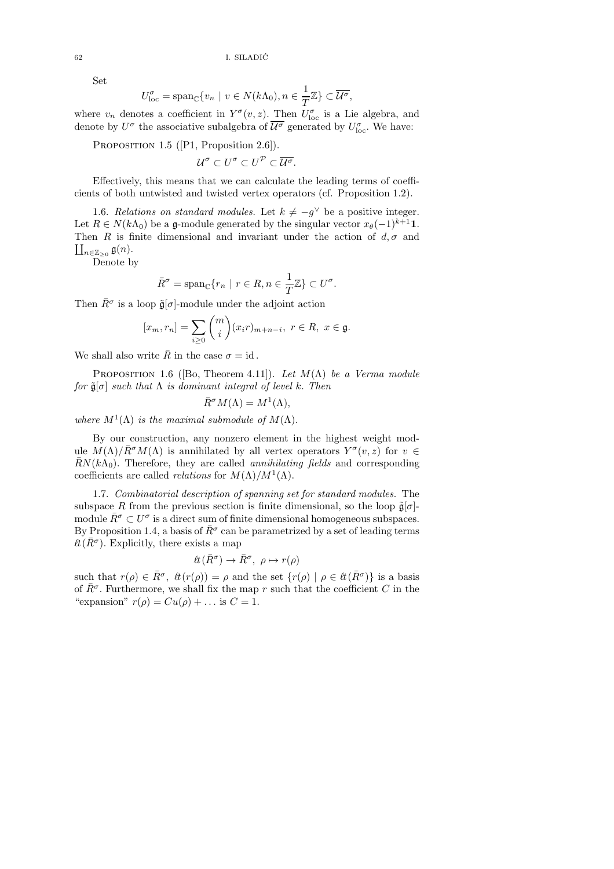Set

$$
U_{\text{loc}}^{\sigma} = \text{span}_{\mathbb{C}} \{ v_n \mid v \in N(k\Lambda_0), n \in \frac{1}{T} \mathbb{Z} \} \subset \overline{\mathcal{U}^{\sigma}},
$$

where  $v_n$  denotes a coefficient in  $Y^{\sigma}(v, z)$ . Then  $U^{\sigma}_{loc}$  is a Lie algebra, and denote by  $U^{\sigma}$  the associative subalgebra of  $\overline{\mathcal{U}^{\sigma}}$  generated by  $U^{\sigma}_{\text{loc}}$ . We have:

PROPOSITION 1.5 ([P1, Proposition 2.6]).

$$
\mathcal{U}^{\sigma} \subset U^{\sigma} \subset U^{\mathcal{P}} \subset \overline{\mathcal{U}^{\sigma}}.
$$

Effectively, this means that we can calculate the leading terms of coefficients of both untwisted and twisted vertex operators (cf. Proposition 1.2).

1.6. Relations on standard modules. Let  $k \neq -g^{\vee}$  be a positive integer. Let  $R \in N(k\Lambda_0)$  be a g-module generated by the singular vector  $x_{\theta}(-1)^{k+1}1$ .  $\coprod_{n\in \mathbb{Z}_{\geq 0}}\mathfrak{g}(n).$ Then R is finite dimensional and invariant under the action of  $d, \sigma$  and

Denote by

$$
\bar{R}^{\sigma} = \text{span}_{\mathbb{C}}\{r_n \mid r \in R, n \in \frac{1}{T}\mathbb{Z}\} \subset U^{\sigma}.
$$

Then  $\bar{R}^{\sigma}$  is a loop  $\tilde{\mathfrak{g}}[\sigma]$ -module under the adjoint action

$$
[x_m, r_n] = \sum_{i \ge 0} {m \choose i} (x_i r)_{m+n-i}, \ r \in R, \ x \in \mathfrak{g}.
$$

We shall also write  $\overline{R}$  in the case  $\sigma = id$ .

PROPOSITION 1.6 ([Bo, Theorem 4.11]). Let  $M(\Lambda)$  be a Verma module for  $\tilde{\mathfrak{g}}[\sigma]$  such that  $\Lambda$  is dominant integral of level k. Then

$$
\bar{R}^{\sigma}M(\Lambda) = M^{1}(\Lambda),
$$

where  $M^1(\Lambda)$  is the maximal submodule of  $M(\Lambda)$ .

By our construction, any nonzero element in the highest weight module  $M(\Lambda)/\bar{R}^{\sigma}M(\Lambda)$  is annihilated by all vertex operators  $Y^{\sigma}(v, z)$  for  $v \in$  $\bar{R}N(k\Lambda_0)$ . Therefore, they are called *annihilating fields* and corresponding coefficients are called *relations* for  $M(\Lambda)/M^1(\Lambda)$ .

1.7. Combinatorial description of spanning set for standard modules. The subspace R from the previous section is finite dimensional, so the loop  $\tilde{\mathfrak{g}}[\sigma]$ module  $\bar{R}^{\sigma} \subset U^{\sigma}$  is a direct sum of finite dimensional homogeneous subspaces. By Proposition 1.4, a basis of  $\bar{R}^{\sigma}$  can be parametrized by a set of leading terms  $\ell \ell(\bar{R}^{\sigma})$ . Explicitly, there exists a map

$$
\ell\hspace{-0.6mm}\ell\hspace{-0.6mm}\ell\hspace{-0.6mm}\bar R^\sigma\hspace{-0.6mm}\ell)\to\bar R^\sigma,\ \rho\mapsto r(\rho)
$$

such that  $r(\rho) \in \bar{R}^{\sigma}$ ,  $\ell t(r(\rho)) = \rho$  and the set  $\{r(\rho) \mid \rho \in \ell t(\bar{R}^{\sigma})\}$  is a basis of  $\bar{R}^{\sigma}$ . Furthermore, we shall fix the map r such that the coefficient C in the "expansion"  $r(\rho) = Cu(\rho) + ...$  is  $C = 1$ .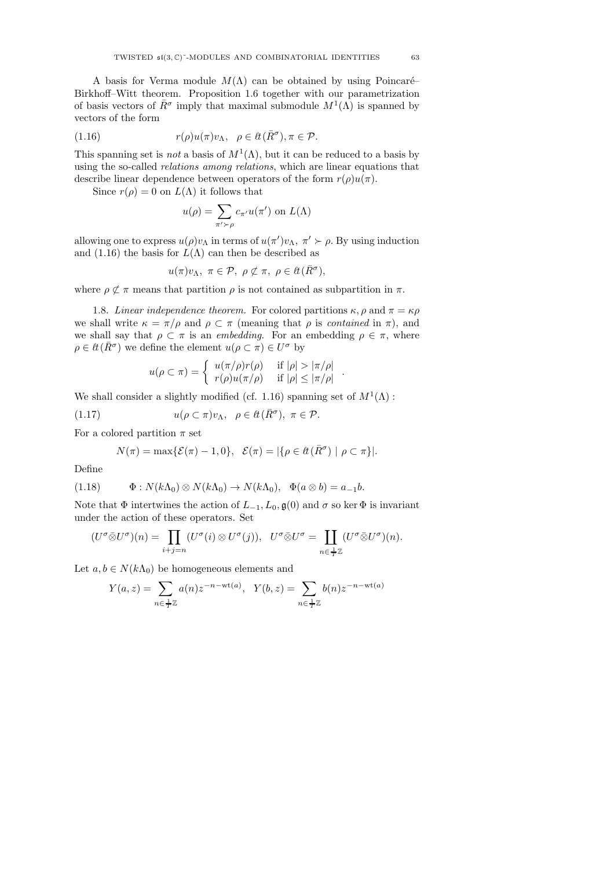A basis for Verma module  $M(\Lambda)$  can be obtained by using Poincaré– Birkhoff–Witt theorem. Proposition 1.6 together with our parametrization of basis vectors of  $\bar{R}^{\sigma}$  imply that maximal submodule  $M^{1}(\Lambda)$  is spanned by vectors of the form

(1.16) 
$$
r(\rho)u(\pi)v_{\Lambda}, \ \ \rho \in \ell \bar{t}(\bar{R}^{\sigma}), \pi \in \mathcal{P}.
$$

This spanning set is *not* a basis of  $M^1(\Lambda)$ , but it can be reduced to a basis by using the so-called relations among relations, which are linear equations that describe linear dependence between operators of the form  $r(\rho)u(\pi)$ .

Since  $r(\rho) = 0$  on  $L(\Lambda)$  it follows that

$$
u(\rho) = \sum_{\pi' \succ \rho} c_{\pi'} u(\pi') \text{ on } L(\Lambda)
$$

allowing one to express  $u(\rho)v_{\Lambda}$  in terms of  $u(\pi')v_{\Lambda}$ ,  $\pi' \succ \rho$ . By using induction and (1.16) the basis for  $L(\Lambda)$  can then be described as

$$
u(\pi)v_{\Lambda}, \ \pi \in \mathcal{P}, \ \rho \not\subset \pi, \ \rho \in \ell \bar{R}^{\sigma}),
$$

where  $\rho \not\subset \pi$  means that partition  $\rho$  is not contained as subpartition in  $\pi$ .

1.8. Linear independence theorem. For colored partitions  $\kappa$ ,  $\rho$  and  $\pi = \kappa \rho$ we shall write  $\kappa = \pi/\rho$  and  $\rho \subset \pi$  (meaning that  $\rho$  is *contained* in  $\pi$ ), and we shall say that  $\rho \subset \pi$  is an *embedding*. For an embedding  $\rho \in \pi$ , where  $\rho \in \ell \ell(\bar{R}^{\sigma})$  we define the element  $u(\rho \subset \pi) \in U^{\sigma}$  by

$$
u(\rho \subset \pi) = \begin{cases} u(\pi/\rho)r(\rho) & \text{if } |\rho| > |\pi/\rho| \\ r(\rho)u(\pi/\rho) & \text{if } |\rho| \le |\pi/\rho| \end{cases}
$$

.

We shall consider a slightly modified (cf. 1.16) spanning set of  $M^1(\Lambda)$ :

(1.17) 
$$
u(\rho \subset \pi)v_{\Lambda}, \ \ \rho \in \ell \bar{R}^{\sigma}), \ \pi \in \mathcal{P}.
$$

For a colored partition  $\pi$  set

$$
N(\pi) = \max\{\mathcal{E}(\pi) - 1, 0\}, \quad \mathcal{E}(\pi) = |\{\rho \in \ell(\bar{R}^{\sigma}) \mid \rho \subset \pi\}|.
$$

Define

(1.18) Φ : N(kΛ0) ⊗ N(kΛ0) → N(kΛ0), Φ(a ⊗ b) = a−<sup>1</sup>b.

Note that  $\Phi$  intertwines the action of  $L_{-1}, L_0, \mathfrak{g}(0)$  and  $\sigma$  so ker  $\Phi$  is invariant under the action of these operators. Set

$$
(U^{\sigma}\bar{\otimes}U^{\sigma})(n)=\prod_{i+j=n}(U^{\sigma}(i)\otimes U^{\sigma}(j)),\ \ U^{\sigma}\bar{\otimes}U^{\sigma}=\coprod_{n\in\frac{1}{T}\mathbb{Z}}(U^{\sigma}\bar{\otimes}U^{\sigma})(n).
$$

Let  $a, b \in N(k\Lambda_0)$  be homogeneous elements and

$$
Y(a, z) = \sum_{n \in \frac{1}{T} \mathbb{Z}} a(n) z^{-n - \text{wt}(a)}, \quad Y(b, z) = \sum_{n \in \frac{1}{T} \mathbb{Z}} b(n) z^{-n - \text{wt}(a)}
$$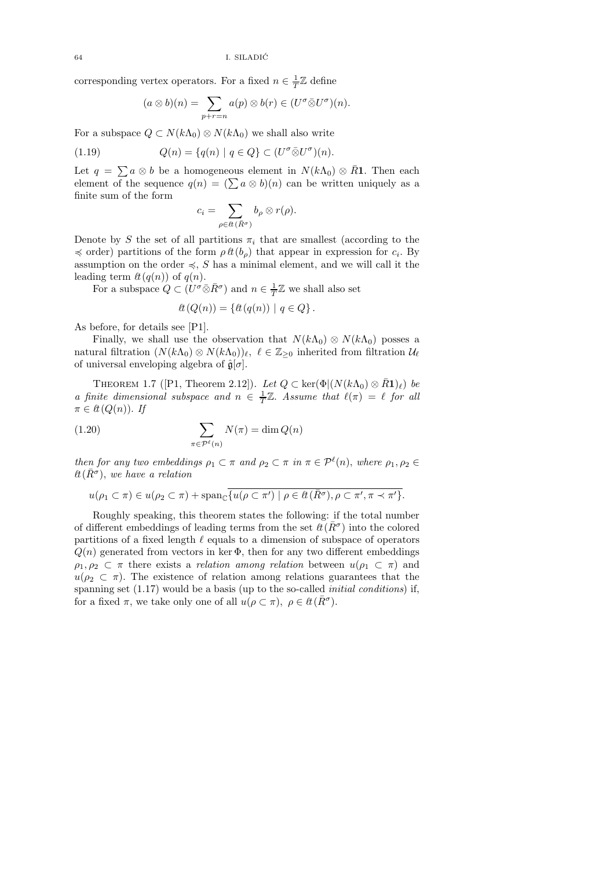corresponding vertex operators. For a fixed  $n\in\frac{1}{T}\mathbb{Z}$  define

$$
(a\otimes b)(n)=\sum_{p+r=n}a(p)\otimes b(r)\in (U^{\sigma}\bar{\otimes}U^{\sigma})(n).
$$

For a subspace  $Q \subset N(k\Lambda_0) \otimes N(k\Lambda_0)$  we shall also write

(1.19) 
$$
Q(n) = \{q(n) | q \in Q\} \subset (U^{\sigma} \bar{\otimes} U^{\sigma})(n).
$$

Let  $q = \sum a \otimes b$  be a homogeneous element in  $N(k\Lambda_0) \otimes \bar{R}$ 1. Then each element of the sequence  $q(n) = (\sum a \otimes b)(n)$  can be written uniquely as a finite sum of the form

$$
c_i = \sum_{\rho \in \mathcal{H}(\bar{R}^{\sigma})} b_{\rho} \otimes r(\rho).
$$

Denote by S the set of all partitions  $\pi_i$  that are smallest (according to the  $\preccurlyeq$  order) partitions of the form  $\rho \ell t(b_\rho)$  that appear in expression for  $c_i$ . By assumption on the order  $\preccurlyeq$ , S has a minimal element, and we will call it the leading term  $\ell\{t(q(n))\}$  of  $q(n)$ .

For a subspace  $Q \subset (U^{\sigma} \bar{\otimes} R^{\sigma})$  and  $n \in \frac{1}{T}\mathbb{Z}$  we shall also set

$$
\ell\!\ell(Q(n)) = \{ \ell\!\ell(q(n)) \mid q \in Q \}.
$$

As before, for details see [P1].

Finally, we shall use the observation that  $N(k\Lambda_0) \otimes N(k\Lambda_0)$  posses a natural filtration  $(N(k\Lambda_0) \otimes N(k\Lambda_0))_\ell$ ,  $\ell \in \mathbb{Z}_{\geq 0}$  inherited from filtration  $\mathcal{U}_\ell$ of universal enveloping algebra of  $\hat{\mathfrak{g}}[\sigma]$ .

THEOREM 1.7 ([P1, Theorem 2.12]). Let  $Q \subset \text{ker}(\Phi | (N(k\Lambda_0) \otimes \overline{R}1)_\ell)$  be a finite dimensional subspace and  $n \in \frac{1}{T}\mathbb{Z}$ . Assume that  $\ell(\pi) = \ell$  for all  $\pi \in \mathcal{H}(Q(n)).$  If

(1.20) 
$$
\sum_{\pi \in \mathcal{P}^{\ell}(n)} N(\pi) = \dim Q(n)
$$

then for any two embeddings  $\rho_1 \subset \pi$  and  $\rho_2 \subset \pi$  in  $\pi \in \mathcal{P}^{\ell}(n)$ , where  $\rho_1, \rho_2 \in$  $\ell t(\bar R^\sigma),\;we\;have\;a\;relation$ 

$$
u(\rho_1 \subset \pi) \in u(\rho_2 \subset \pi) + \operatorname{span}_{\mathbb{C}}\overline{\{u(\rho \subset \pi') \mid \rho \in \ell^1(\overline{R}^{\sigma}), \rho \subset \pi', \pi \prec \pi'\}}.
$$

Roughly speaking, this theorem states the following: if the total number of different embeddings of leading terms from the set  $\ell(\bar{R}^{\sigma})$  into the colored partitions of a fixed length  $\ell$  equals to a dimension of subspace of operators  $Q(n)$  generated from vectors in ker  $\Phi$ , then for any two different embeddings  $\rho_1, \rho_2 \subset \pi$  there exists a *relation among relation* between  $u(\rho_1 \subset \pi)$  and  $u(\rho_2 \subset \pi)$ . The existence of relation among relations guarantees that the spanning set  $(1.17)$  would be a basis (up to the so-called *initial conditions*) if, for a fixed  $\pi$ , we take only one of all  $u(\rho \subset \pi)$ ,  $\rho \in \ell \ell(\bar{R}^{\sigma})$ .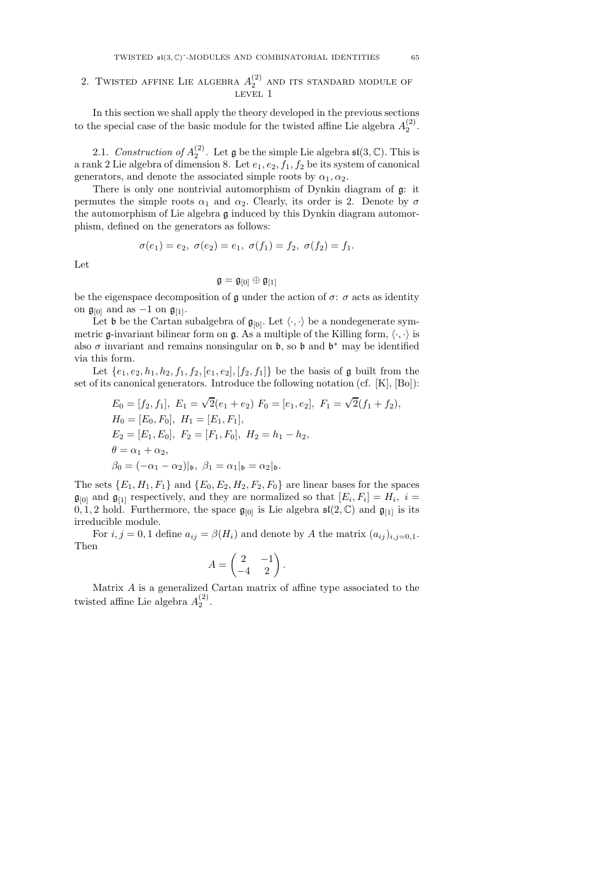# 2. TWISTED AFFINE LIE ALGEBRA  $A_2^{(2)}$  and its standard module of Level 1

In this section we shall apply the theory developed in the previous sections to the special case of the basic module for the twisted affine Lie algebra  $A_2^{(2)}$ .

2.1. Construction of  $A_2^{(2)}$ . Let  $\mathfrak g$  be the simple Lie algebra  $\mathfrak{sl}(3,\mathbb C)$ . This is a rank 2 Lie algebra of dimension 8. Let  $e_1, e_2, f_1, f_2$  be its system of canonical generators, and denote the associated simple roots by  $\alpha_1, \alpha_2$ .

There is only one nontrivial automorphism of Dynkin diagram of  $\mathfrak{g}$ : it permutes the simple roots  $\alpha_1$  and  $\alpha_2$ . Clearly, its order is 2. Denote by  $\sigma$ the automorphism of Lie algebra g induced by this Dynkin diagram automorphism, defined on the generators as follows:

$$
\rm Let
$$

$$
\mathfrak{g}=\mathfrak{g}_{[0]}\oplus\mathfrak{g}_{[1]}
$$

 $\sigma(e_1) = e_2, \ \sigma(e_2) = e_1, \ \sigma(f_1) = f_2, \ \sigma(f_2) = f_1.$ 

be the eigenspace decomposition of  $\mathfrak g$  under the action of  $\sigma\colon\sigma$  acts as identity on  $\mathfrak{g}_{[0]}$  and as -1 on  $\mathfrak{g}_{[1]}$ .

Let b be the Cartan subalgebra of  $\mathfrak{g}_{[0]}$ . Let  $\langle \cdot, \cdot \rangle$  be a nondegenerate symmetric g-invariant bilinear form on g. As a multiple of the Killing form,  $\langle \cdot, \cdot \rangle$  is also  $\sigma$  invariant and remains nonsingular on  $\mathfrak b$ , so  $\mathfrak b$  and  $\mathfrak b^*$  may be identified via this form.

Let  $\{e_1, e_2, h_1, h_2, f_1, f_2, [e_1, e_2], [f_2, f_1]\}$  be the basis of g built from the set of its canonical generators. Introduce the following notation (cf. [K], [Bo]):

$$
E_0 = [f_2, f_1], E_1 = \sqrt{2}(e_1 + e_2) F_0 = [e_1, e_2], F_1 = \sqrt{2}(f_1 + f_2),
$$
  
\n
$$
H_0 = [E_0, F_0], H_1 = [E_1, F_1],
$$
  
\n
$$
E_2 = [E_1, E_0], F_2 = [F_1, F_0], H_2 = h_1 - h_2,
$$
  
\n
$$
\theta = \alpha_1 + \alpha_2,
$$
  
\n
$$
\beta_0 = (-\alpha_1 - \alpha_2)|_b, \ \beta_1 = \alpha_1|_b = \alpha_2|_b.
$$

The sets  $\{E_1, H_1, F_1\}$  and  $\{E_0, E_2, H_2, F_2, F_0\}$  are linear bases for the spaces  $\mathfrak{g}_{[0]}$  and  $\mathfrak{g}_{[1]}$  respectively, and they are normalized so that  $[E_i, F_i] = H_i$ ,  $i =$ 0, 1, 2 hold. Furthermore, the space  $\mathfrak{g}_{[0]}$  is Lie algebra  $\mathfrak{sl}(2,\mathbb{C})$  and  $\mathfrak{g}_{[1]}$  is its irreducible module.

For  $i, j = 0, 1$  define  $a_{ij} = \beta(H_i)$  and denote by A the matrix  $(a_{ij})_{i,j=0,1}$ . Then

$$
A = \begin{pmatrix} 2 & -1 \\ -4 & 2 \end{pmatrix}.
$$

Matrix A is a generalized Cartan matrix of affine type associated to the twisted affine Lie algebra  $A_2^{(2)}$ .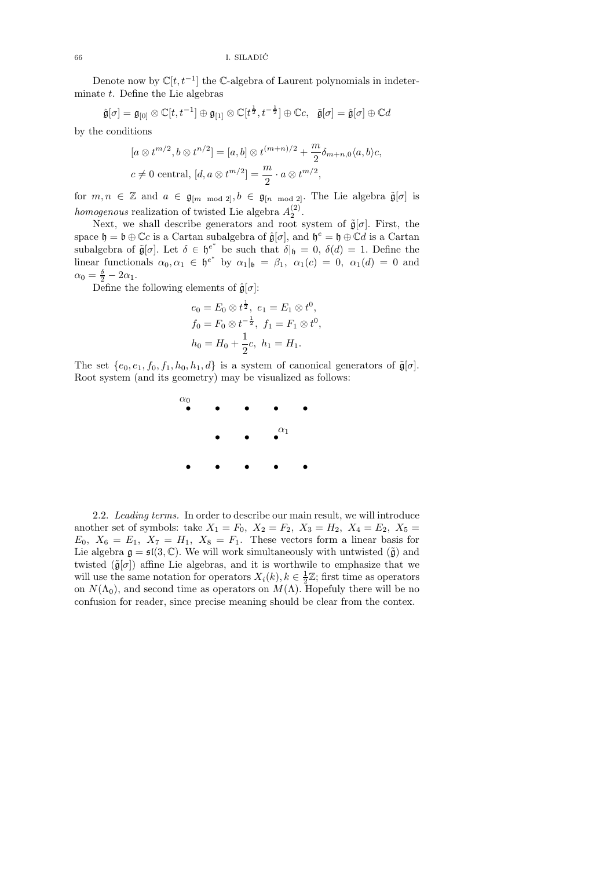Denote now by  $\mathbb{C}[t, t^{-1}]$  the  $\mathbb{C}\text{-algebra of Laurent polynomials in indeterminant.}$ minate  $t$ . Define the Lie algebras

$$
\hat{\mathfrak{g}}[\sigma] = \mathfrak{g}_{[0]} \otimes \mathbb{C}[t, t^{-1}] \oplus \mathfrak{g}_{[1]} \otimes \mathbb{C}[t^{\frac{1}{2}}, t^{-\frac{1}{2}}] \oplus \mathbb{C}c, \quad \tilde{\mathfrak{g}}[\sigma] = \hat{\mathfrak{g}}[\sigma] \oplus \mathbb{C}d
$$

by the conditions

$$
[a \otimes t^{m/2}, b \otimes t^{n/2}] = [a, b] \otimes t^{(m+n)/2} + \frac{m}{2} \delta_{m+n,0} \langle a, b \rangle c,
$$
  

$$
c \neq 0 \text{ central}, [d, a \otimes t^{m/2}] = \frac{m}{2} \cdot a \otimes t^{m/2},
$$

for  $m, n \in \mathbb{Z}$  and  $a \in \mathfrak{g}_{[m \mod 2]}, b \in \mathfrak{g}_{[n \mod 2]}$ . The Lie algebra  $\tilde{\mathfrak{g}}[\sigma]$  is *homogenous* realization of twisted Lie algebra  $A_2^{(2)}$ .

Next, we shall describe generators and root system of  $\tilde{\mathfrak{g}}[\sigma]$ . First, the space  $\mathfrak{h} = \mathfrak{b} \oplus \mathbb{C}c$  is a Cartan subalgebra of  $\hat{\mathfrak{g}}[\sigma]$ , and  $\mathfrak{h}^e = \mathfrak{h} \oplus \mathbb{C}d$  is a Cartan subalgebra of  $\tilde{\mathfrak{g}}[\sigma]$ . Let  $\delta \in {\mathfrak{h}}^{\epsilon^*}$  be such that  $\delta|_{\mathfrak{h}} = 0$ ,  $\delta(d) = 1$ . Define the linear functionals  $\alpha_0, \alpha_1 \in \mathfrak{h}^{e^*}$  by  $\alpha_1|_{\mathfrak{b}} = \beta_1$ ,  $\alpha_1(c) = 0$ ,  $\alpha_1(d) = 0$  and  $\alpha_0 = \frac{\delta}{2} - 2\alpha_1.$ 

Define the following elements of  $\hat{\mathfrak{g}}[\sigma]$ :

$$
e_0 = E_0 \otimes t^{\frac{1}{2}}, \ e_1 = E_1 \otimes t^0,
$$
  
\n
$$
f_0 = F_0 \otimes t^{-\frac{1}{2}}, \ f_1 = F_1 \otimes t^0,
$$
  
\n
$$
h_0 = H_0 + \frac{1}{2}c, \ h_1 = H_1.
$$

The set  $\{e_0, e_1, f_0, f_1, h_0, h_1, d\}$  is a system of canonical generators of  $\tilde{\mathfrak{g}}[\sigma]$ . Root system (and its geometry) may be visualized as follows:



2.2. Leading terms. In order to describe our main result, we will introduce another set of symbols: take  $X_1 = F_0$ ,  $X_2 = F_2$ ,  $X_3 = H_2$ ,  $X_4 = E_2$ ,  $X_5 =$  $E_0, X_6 = E_1, X_7 = H_1, X_8 = F_1$ . These vectors form a linear basis for Lie algebra  $\mathfrak{g} = \mathfrak{sl}(3, \mathbb{C})$ . We will work simultaneously with untwisted  $(\tilde{\mathfrak{g}})$  and twisted  $(\tilde{\mathfrak{g}}[\sigma])$  affine Lie algebras, and it is worthwile to emphasize that we will use the same notation for operators  $X_i(k)$ ,  $k \in \frac{1}{2}\mathbb{Z}$ ; first time as operators on  $N(\Lambda_0)$ , and second time as operators on  $M(\Lambda)$ . Hopefuly there will be no confusion for reader, since precise meaning should be clear from the contex.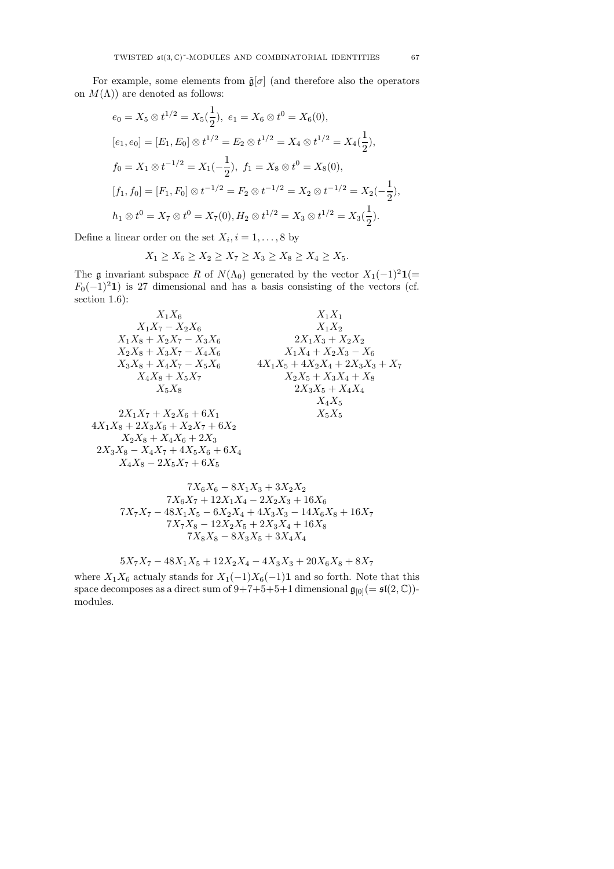$$
e_0 = X_5 \otimes t^{1/2} = X_5(\frac{1}{2}), \ e_1 = X_6 \otimes t^0 = X_6(0),
$$
  
\n
$$
[e_1, e_0] = [E_1, E_0] \otimes t^{1/2} = E_2 \otimes t^{1/2} = X_4 \otimes t^{1/2} = X_4(\frac{1}{2}),
$$
  
\n
$$
f_0 = X_1 \otimes t^{-1/2} = X_1(-\frac{1}{2}), \ f_1 = X_8 \otimes t^0 = X_8(0),
$$
  
\n
$$
[f_1, f_0] = [F_1, F_0] \otimes t^{-1/2} = F_2 \otimes t^{-1/2} = X_2 \otimes t^{-1/2} = X_2(-\frac{1}{2}),
$$
  
\n
$$
h_1 \otimes t^0 = X_7 \otimes t^0 = X_7(0), H_2 \otimes t^{1/2} = X_3 \otimes t^{1/2} = X_3(\frac{1}{2}).
$$

Define a linear order on the set  $X_i, i = 1, \ldots, 8$  by

$$
X_1 \ge X_6 \ge X_2 \ge X_7 \ge X_3 \ge X_8 \ge X_4 \ge X_5.
$$

The g invariant subspace R of  $N(\Lambda_0)$  generated by the vector  $X_1(-1)^2 \mathbf{1}(=$  $F_0(-1)^2$ 1) is 27 dimensional and has a basis consisting of the vectors (cf. section  $1.6$ :

$$
X_1X_6
$$

$$
X_1X_7
$$

$$
X_1X_7-X_2X_6
$$

$$
X_1X_2
$$

$$
X_1X_8+X_2X_7-X_3X_6
$$

$$
X_2X_8+X_3X_7-X_4X_6
$$

$$
X_3X_8+X_4X_7-X_5X_6
$$

$$
X_4X_8+X_5X_7
$$

$$
X_5X_8
$$

$$
X_5X_8
$$

$$
2X_1X_7+X_2X_6+6X_1
$$

$$
2X_3X_5+X_4X_4
$$

$$
X_4X_5
$$

$$
2X_3X_5+X_4X_4
$$

$$
X_4X_5
$$

$$
2X_3X_8-X_4X_7+4X_5X_6+6X_4
$$

$$
X_4X_8-2X_5X_7+6X_5
$$

$$
2X_3X_8-X_4X_7+4X_5X_6+6X_4
$$

$$
X_4X_8-2X_5X_7+6X_5
$$

$$
7X_6X_6-8X_1X_3+3X_2X_2
$$

$$
7X_6X_7 + 12X_1X_4 - 2X_2X_3 + 16X_6
$$
  
\n
$$
7X_7X_7 - 48X_1X_5 - 6X_2X_4 + 4X_3X_3 - 14X_6X_8 + 16X_7
$$
  
\n
$$
7X_7X_8 - 12X_2X_5 + 2X_3X_4 + 16X_8
$$
  
\n
$$
7X_8X_8 - 8X_3X_5 + 3X_4X_4
$$

$$
5X_7X_7 - 48X_1X_5 + 12X_2X_4 - 4X_3X_3 + 20X_6X_8 + 8X_7
$$

where  $X_1X_6$  actualy stands for  $X_1(-1)X_6(-1)$  and so forth. Note that this space decomposes as a direct sum of  $9+7+5+5+1$  dimensional  $\mathfrak{g}_{[0]}(=\mathfrak{sl}(2,\mathbb{C}))$ modules.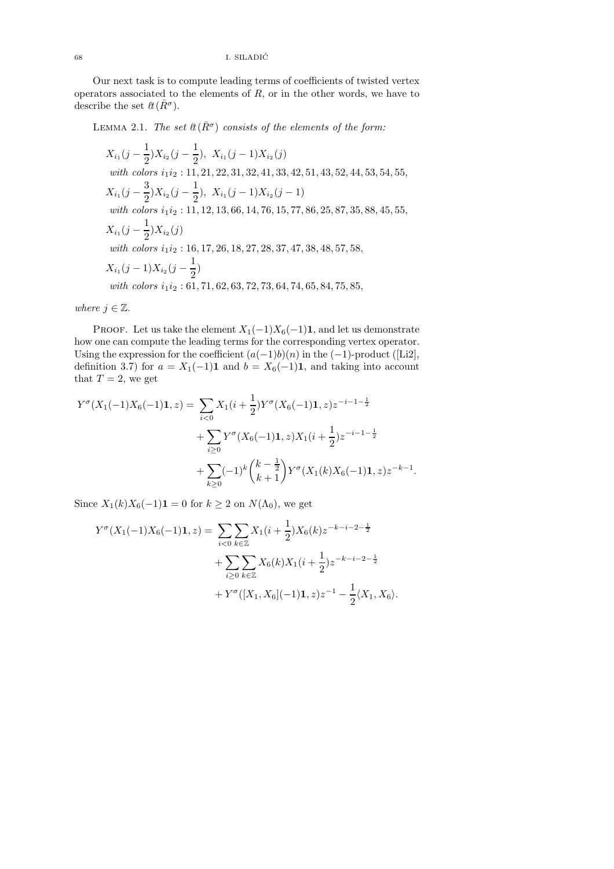Our next task is to compute leading terms of coefficients of twisted vertex operators associated to the elements of  $R$ , or in the other words, we have to describe the set  $\ell \ell(\bar{R}^{\sigma}).$ 

LEMMA 2.1. The set  $\ell(\bar{R}^{\sigma})$  consists of the elements of the form:

$$
X_{i_1}(j - \frac{1}{2})X_{i_2}(j - \frac{1}{2}), X_{i_1}(j - 1)X_{i_2}(j)
$$
  
\nwith colors  $i_1i_2 : 11, 21, 22, 31, 32, 41, 33, 42, 51, 43, 52, 44, 53, 54, 55,$   
\n $X_{i_1}(j - \frac{3}{2})X_{i_2}(j - \frac{1}{2}), X_{i_1}(j - 1)X_{i_2}(j - 1)$   
\nwith colors  $i_1i_2 : 11, 12, 13, 66, 14, 76, 15, 77, 86, 25, 87, 35, 88, 45, 55,$   
\n $X_{i_1}(j - \frac{1}{2})X_{i_2}(j)$   
\nwith colors  $i_1i_2 : 16, 17, 26, 18, 27, 28, 37, 47, 38, 48, 57, 58,$   
\n $X_{i_1}(j - 1)X_{i_2}(j - \frac{1}{2})$   
\nwith colors  $i_1i_2 : 61, 71, 62, 63, 72, 73, 64, 74, 65, 84, 75, 85,$ 

where  $j \in \mathbb{Z}$ .

PROOF. Let us take the element  $X_1(-1)X_6(-1)1$ , and let us demonstrate how one can compute the leading terms for the corresponding vertex operator. Using the expression for the coefficient  $(a(-1)b)(n)$  in the  $(-1)$ -product ([Li2], definition 3.7) for  $a = X_1(-1)\mathbf{1}$  and  $b = X_6(-1)\mathbf{1}$ , and taking into account that  $T = 2$ , we get

$$
Y^{\sigma}(X_1(-1)X_6(-1)\mathbf{1}, z) = \sum_{i < 0} X_1(i + \frac{1}{2})Y^{\sigma}(X_6(-1)\mathbf{1}, z)z^{-i-1-\frac{1}{2}} \\
+ \sum_{i \geq 0} Y^{\sigma}(X_6(-1)\mathbf{1}, z)X_1(i + \frac{1}{2})z^{-i-1-\frac{1}{2}} \\
+ \sum_{k \geq 0} (-1)^k {k - \frac{1}{2} \choose k + 1} Y^{\sigma}(X_1(k)X_6(-1)\mathbf{1}, z)z^{-k-1}.
$$

Since  $X_1(k)X_6(-1)\mathbf{1} = 0$  for  $k \geq 2$  on  $N(\Lambda_0)$ , we get

$$
Y^{\sigma}(X_1(-1)X_6(-1)\mathbf{1}, z) = \sum_{i < 0} \sum_{k \in \mathbb{Z}} X_1(i + \frac{1}{2})X_6(k)z^{-k-i-2-\frac{1}{2}}
$$
  
+ 
$$
\sum_{i \ge 0} \sum_{k \in \mathbb{Z}} X_6(k)X_1(i + \frac{1}{2})z^{-k-i-2-\frac{1}{2}}
$$
  
+ 
$$
Y^{\sigma}([X_1, X_6](-1)\mathbf{1}, z)z^{-1} - \frac{1}{2}\langle X_1, X_6 \rangle.
$$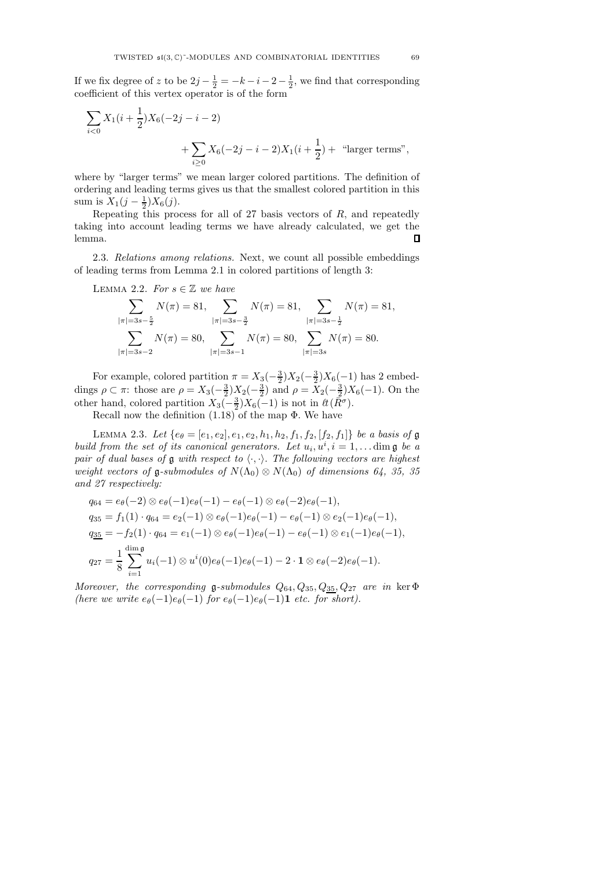If we fix degree of z to be  $2j - \frac{1}{2} = -k - i - 2 - \frac{1}{2}$ , we find that corresponding coefficient of this vertex operator is of the form

$$
\sum_{i<0} X_1(i+\frac{1}{2})X_6(-2j-i-2)
$$
  
+
$$
\sum_{i\geq 0} X_6(-2j-i-2)X_1(i+\frac{1}{2}) +
$$
 "larger terms",

where by "larger terms" we mean larger colored partitions. The definition of ordering and leading terms gives us that the smallest colored partition in this sum is  $X_1(j - \frac{1}{2})X_6(j)$ .

Repeating this process for all of 27 basis vectors of  $R$ , and repeatedly taking into account leading terms we have already calculated, we get the  $\Box$ lemma.

2.3. Relations among relations. Next, we count all possible embeddings of leading terms from Lemma 2.1 in colored partitions of length 3:

LEMMA 2.2. For  $s \in \mathbb{Z}$  we have

$$
\sum_{|\pi|=3s-\frac{5}{2}} N(\pi) = 81, \sum_{|\pi|=3s-\frac{3}{2}} N(\pi) = 81, \sum_{|\pi|=3s-\frac{1}{2}} N(\pi) = 81,
$$
  

$$
\sum_{|\pi|=3s-2} N(\pi) = 80, \sum_{|\pi|=3s-1} N(\pi) = 80, \sum_{|\pi|=3s} N(\pi) = 80.
$$

For example, colored partition  $\pi = X_3(-\frac{3}{2})X_2(-\frac{3}{2})X_6(-1)$  has 2 embeddings  $\rho \subset \pi$ : those are  $\rho = X_3(-\frac{3}{2})X_2(-\frac{3}{2})$  and  $\rho = X_2(-\frac{3}{2})X_6(-1)$ . On the other hand, colored partition  $X_3(-\frac{3}{2})X_6(-1)$  is not in  $\ell(\bar{R}\sigma)$ .

Recall now the definition (1.18) of the map Φ. We have

LEMMA 2.3. Let  $\{e_{\theta} = [e_1, e_2], e_1, e_2, h_1, h_2, f_1, f_2, [f_2, f_1]\}$  be a basis of  $\mathfrak g$ build from the set of its canonical generators. Let  $u_i, u^i, i = 1, \ldots$  dim  $\mathfrak g$  be a pair of dual bases of g with respect to  $\langle \cdot, \cdot \rangle$ . The following vectors are highest weight vectors of g-submodules of  $N(\Lambda_0) \otimes N(\Lambda_0)$  of dimensions 64, 35, 35 and 27 respectively:

$$
q_{64} = e_{\theta}(-2) \otimes e_{\theta}(-1)e_{\theta}(-1) - e_{\theta}(-1) \otimes e_{\theta}(-2)e_{\theta}(-1),
$$
  
\n
$$
q_{35} = f_1(1) \cdot q_{64} = e_2(-1) \otimes e_{\theta}(-1)e_{\theta}(-1) - e_{\theta}(-1) \otimes e_2(-1)e_{\theta}(-1),
$$
  
\n
$$
q_{35} = -f_2(1) \cdot q_{64} = e_1(-1) \otimes e_{\theta}(-1)e_{\theta}(-1) - e_{\theta}(-1) \otimes e_1(-1)e_{\theta}(-1),
$$
  
\n
$$
q_{27} = \frac{1}{8} \sum_{i=1}^{\dim \mathfrak{g}} u_i(-1) \otimes u^i(0)e_{\theta}(-1)e_{\theta}(-1) - 2 \cdot \mathbf{1} \otimes e_{\theta}(-2)e_{\theta}(-1).
$$

Moreover, the corresponding g-submodules  $Q_{64}, Q_{35}, Q_{35}, Q_{27}$  are in ker  $\Phi$ (here we write  $e_{\theta}(-1)e_{\theta}(-1)$  for  $e_{\theta}(-1)e_{\theta}(-1)$ **1** etc. for short).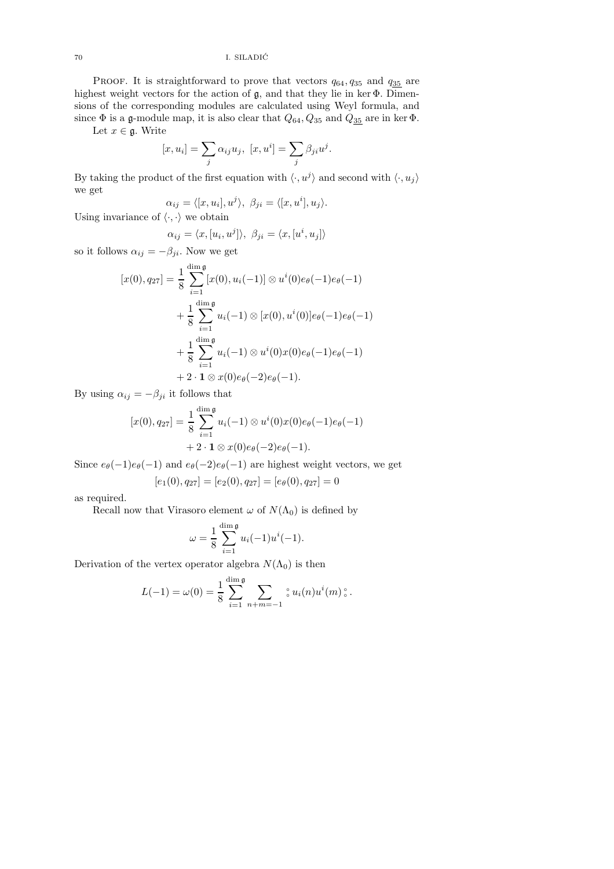PROOF. It is straightforward to prove that vectors  $q_{64}, q_{35}$  and  $q_{35}$  are highest weight vectors for the action of g, and that they lie in ker Φ. Dimensions of the corresponding modules are calculated using Weyl formula, and since  $\Phi$  is a g-module map, it is also clear that  $Q_{64}, Q_{35}$  and  $Q_{\underline{35}}$  are in ker  $\Phi$ .

Let  $x \in \mathfrak{g}$ . Write

$$
[x, u_i] = \sum_j \alpha_{ij} u_j, \ [x, u^i] = \sum_j \beta_{ji} u^j.
$$

By taking the product of the first equation with  $\langle \cdot, u^j \rangle$  and second with  $\langle \cdot, u_j \rangle$ we get

$$
\alpha_{ij} = \langle [x, u_i], u^j \rangle, \ \beta_{ji} = \langle [x, u^i], u_j \rangle.
$$

Using invariance of  $\langle \cdot, \cdot \rangle$  we obtain

$$
\alpha_{ij} = \langle x, [u_i, u^j] \rangle, \ \beta_{ji} = \langle x, [u^i, u_j] \rangle
$$

so it follows  $\alpha_{ij} = -\beta_{ji}$ . Now we get

$$
[x(0), q_{27}] = \frac{1}{8} \sum_{i=1}^{\dim \mathfrak{g}} [x(0), u_i(-1)] \otimes u^i(0)e_{\theta}(-1)e_{\theta}(-1)
$$
  
+ 
$$
\frac{1}{8} \sum_{i=1}^{\dim \mathfrak{g}} u_i(-1) \otimes [x(0), u^i(0)]e_{\theta}(-1)e_{\theta}(-1)
$$
  
+ 
$$
\frac{1}{8} \sum_{i=1}^{\dim \mathfrak{g}} u_i(-1) \otimes u^i(0)x(0)e_{\theta}(-1)e_{\theta}(-1)
$$
  
+ 
$$
2 \cdot \mathbf{1} \otimes x(0)e_{\theta}(-2)e_{\theta}(-1).
$$

By using  $\alpha_{ij} = -\beta_{ji}$  it follows that

$$
[x(0), q_{27}] = \frac{1}{8} \sum_{i=1}^{\dim \mathfrak{g}} u_i(-1) \otimes u^i(0) x(0) e_{\theta}(-1) e_{\theta}(-1) + 2 \cdot \mathbf{1} \otimes x(0) e_{\theta}(-2) e_{\theta}(-1).
$$

Since  $e_{\theta}(-1)e_{\theta}(-1)$  and  $e_{\theta}(-2)e_{\theta}(-1)$  are highest weight vectors, we get

$$
[e_1(0), q_{27}] = [e_2(0), q_{27}] = [e_\theta(0), q_{27}] = 0
$$

as required.

Recall now that Virasoro element  $\omega$  of  $N(\Lambda_0)$  is defined by

$$
\omega = \frac{1}{8} \sum_{i=1}^{\dim \mathfrak{g}} u_i(-1) u^i(-1).
$$

Derivation of the vertex operator algebra  $N(\Lambda_0)$  is then

$$
L(-1) = \omega(0) = \frac{1}{8} \sum_{i=1}^{\dim \mathfrak{g}} \sum_{n+m=-1} \mathfrak{g} u_i(n) u^i(m) \mathfrak{g}.
$$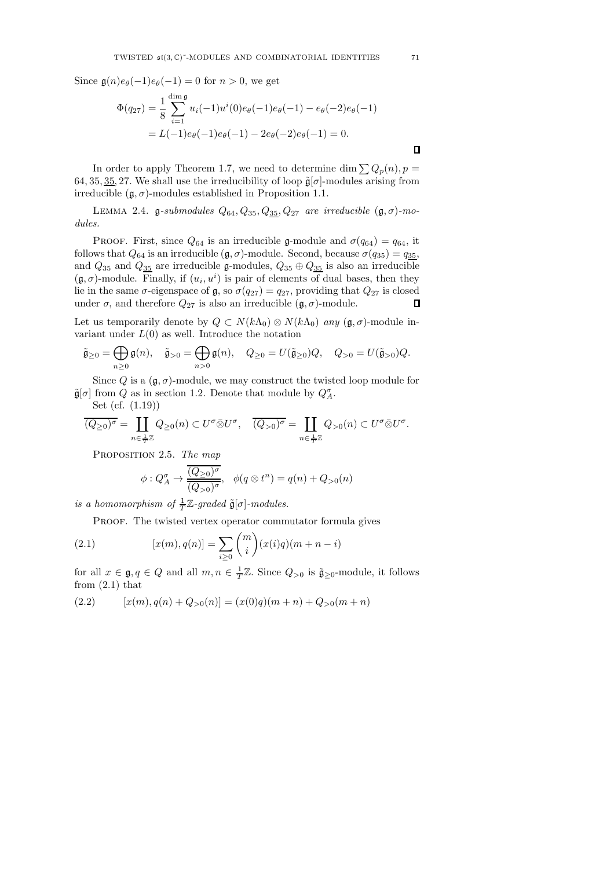Since  $\mathfrak{g}(n)e_{\theta}(-1)e_{\theta}(-1) = 0$  for  $n > 0$ , we get

$$
\Phi(q_{27}) = \frac{1}{8} \sum_{i=1}^{\dim \mathfrak{g}} u_i(-1)u^i(0)e_{\theta}(-1)e_{\theta}(-1) - e_{\theta}(-2)e_{\theta}(-1)
$$

$$
= L(-1)e_{\theta}(-1)e_{\theta}(-1) - 2e_{\theta}(-2)e_{\theta}(-1) = 0.
$$

In order to apply Theorem 1.7, we need to determine dim  $\sum Q_p(n)$ ,  $p =$ 64, 35, 35, 27. We shall use the irreducibility of loop  $\tilde{\mathfrak{g}}[\sigma]$ -modules arising from irreducible  $(g, \sigma)$ -modules established in Proposition 1.1.

LEMMA 2.4. g-submodules  $Q_{64}, Q_{35}, Q_{35}, Q_{27}$  are irreducible  $(\mathfrak{g}, \sigma)$ -modules.

PROOF. First, since  $Q_{64}$  is an irreducible g-module and  $\sigma(q_{64}) = q_{64}$ , it follows that  $Q_{64}$  is an irreducible  $(\mathfrak{g}, \sigma)$ -module. Second, because  $\sigma(q_{35}) = q_{35}$ , and  $Q_{35}$  and  $Q_{35}$  are irreducible g-modules,  $Q_{35} \oplus Q_{35}$  is also an irreducible  $(\mathfrak{g}, \sigma)$ -module. Finally, if  $(u_i, u^i)$  is pair of elements of dual bases, then they lie in the same  $\sigma$ -eigenspace of  $\mathfrak{g}$ , so  $\sigma(q_{27}) = q_{27}$ , providing that  $Q_{27}$  is closed under  $\sigma$ , and therefore  $Q_{27}$  is also an irreducible  $(\mathfrak{g}, \sigma)$ -module.  $\Box$ 

Let us temporarily denote by  $Q \subset N(k\Lambda_0) \otimes N(k\Lambda_0)$  any  $(\mathfrak{g}, \sigma)$ -module invariant under  $L(0)$  as well. Introduce the notation

$$
\tilde{\mathfrak{g}}_{\geq 0} = \bigoplus_{n \geq 0} \mathfrak{g}(n), \quad \tilde{\mathfrak{g}}_{> 0} = \bigoplus_{n > 0} \mathfrak{g}(n), \quad Q_{\geq 0} = U(\tilde{\mathfrak{g}}_{\geq 0})Q, \quad Q_{> 0} = U(\tilde{\mathfrak{g}}_{> 0})Q.
$$

Since Q is a  $(\mathfrak{g}, \sigma)$ -module, we may construct the twisted loop module for  $\tilde{\mathfrak{g}}[\sigma]$  from Q as in section 1.2. Denote that module by  $Q^{\sigma}_{A}$ .

Set (cf. (1.19))

$$
\overline{(Q_{\geq 0})^{\sigma}} = \coprod_{n \in \frac{1}{T}\mathbb{Z}} Q_{\geq 0}(n) \subset U^{\sigma} \bar{\otimes} U^{\sigma}, \quad \overline{(Q_{>0})^{\sigma}} = \coprod_{n \in \frac{1}{T}\mathbb{Z}} Q_{>0}(n) \subset U^{\sigma} \bar{\otimes} U^{\sigma}.
$$

PROPOSITION 2.5. The map

$$
\phi: Q_A^{\sigma} \to \frac{\overline{(Q_{\geq 0})^{\sigma}}}{\overline{(Q_{>0})^{\sigma}}}, \quad \phi(q \otimes t^n) = q(n) + Q_{>0}(n)
$$

is a homomorphism of  $\frac{1}{T}\mathbb{Z}$ -graded  $\tilde{\mathfrak{g}}[\sigma]$ -modules.

PROOF. The twisted vertex operator commutator formula gives

(2.1) 
$$
[x(m), q(n)] = \sum_{i \ge 0} {m \choose i} (x(i)q)(m+n-i)
$$

for all  $x \in \mathfrak{g}, q \in Q$  and all  $m, n \in \frac{1}{T}\mathbb{Z}$ . Since  $Q_{>0}$  is  $\tilde{\mathfrak{g}}_{\geq 0}$ -module, it follows from  $(2.1)$  that

(2.2) 
$$
[x(m), q(n) + Q_{>0}(n)] = (x(0)q)(m+n) + Q_{>0}(m+n)
$$

 $\Box$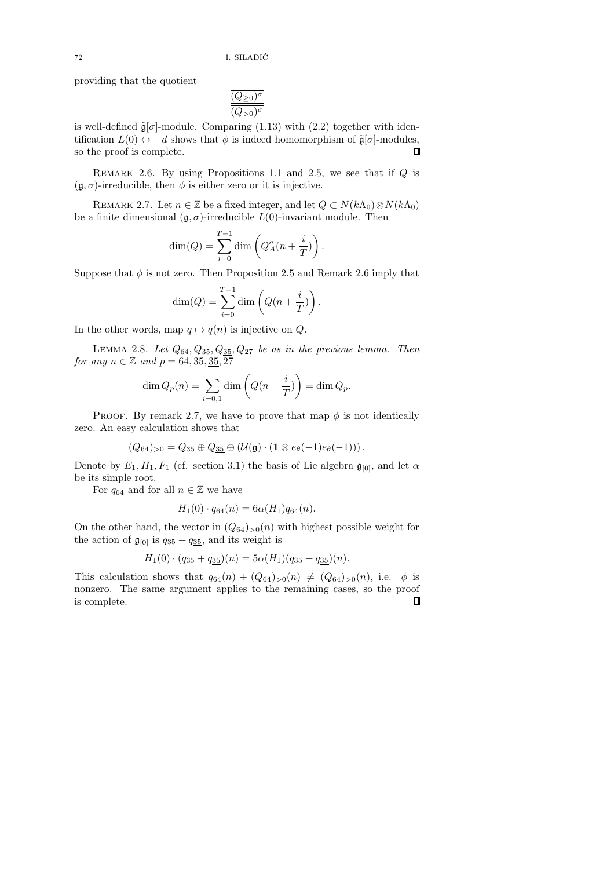providing that the quotient

$$
\frac{\overline{(Q_{\geq 0})^\sigma}}{\overline{(Q_{>0})^\sigma}}
$$

is well-defined  $\tilde{\mathfrak{g}}[\sigma]$ -module. Comparing (1.13) with (2.2) together with identification  $L(0) \leftrightarrow -d$  shows that  $\phi$  is indeed homomorphism of  $\tilde{\mathfrak{g}}[\sigma]$ -modules, so the proof is complete. so the proof is complete.

REMARK 2.6. By using Propositions 1.1 and 2.5, we see that if  $Q$  is  $(\mathfrak{g}, \sigma)$ -irreducible, then  $\phi$  is either zero or it is injective.

REMARK 2.7. Let  $n \in \mathbb{Z}$  be a fixed integer, and let  $Q \subset N(k\Lambda_0) \otimes N(k\Lambda_0)$ be a finite dimensional  $(\mathfrak{g}, \sigma)$ -irreducible  $L(0)$ -invariant module. Then

$$
\dim(Q) = \sum_{i=0}^{T-1} \dim\left(Q_A^{\sigma}(n + \frac{i}{T})\right).
$$

Suppose that  $\phi$  is not zero. Then Proposition 2.5 and Remark 2.6 imply that

$$
\dim(Q) = \sum_{i=0}^{T-1} \dim\left(Q(n+\frac{i}{T})\right).
$$

In the other words, map  $q \mapsto q(n)$  is injective on Q.

LEMMA 2.8. Let  $Q_{64}, Q_{35}, Q_{35}, Q_{27}$  be as in the previous lemma. Then for any  $n \in \mathbb{Z}$  and  $p = 64, 35, \underline{35}, 27$ 

$$
\dim Q_p(n) = \sum_{i=0,1} \dim \left( Q(n + \frac{i}{T}) \right) = \dim Q_p.
$$

PROOF. By remark 2.7, we have to prove that map  $\phi$  is not identically zero. An easy calculation shows that

$$
(Q_{64})_{>0}=Q_{35}\oplus Q_{\underline{35}}\oplus (\mathcal{U}(\mathfrak{g})\cdot (\mathbf{1}\otimes e_{\theta}(-1)e_{\theta}(-1)))\,.
$$

Denote by  $E_1, H_1, F_1$  (cf. section 3.1) the basis of Lie algebra  $\mathfrak{g}_{[0]}$ , and let  $\alpha$ be its simple root.

For  $q_{64}$  and for all  $n \in \mathbb{Z}$  we have

$$
H_1(0) \cdot q_{64}(n) = 6\alpha(H_1)q_{64}(n).
$$

On the other hand, the vector in  $(Q_{64})_{>0}(n)$  with highest possible weight for the action of  $\mathfrak{g}_{[0]}$  is  $q_{35} + q_{35}$ , and its weight is

$$
H_1(0) \cdot (q_{35} + q_{35})(n) = 5\alpha (H_1)(q_{35} + q_{35})(n).
$$

This calculation shows that  $q_{64}(n) + (Q_{64})_{>0}(n) \neq (Q_{64})_{>0}(n)$ , i.e.  $\phi$  is nonzero. The same argument applies to the remaining cases, so the proof is complete. $\Box$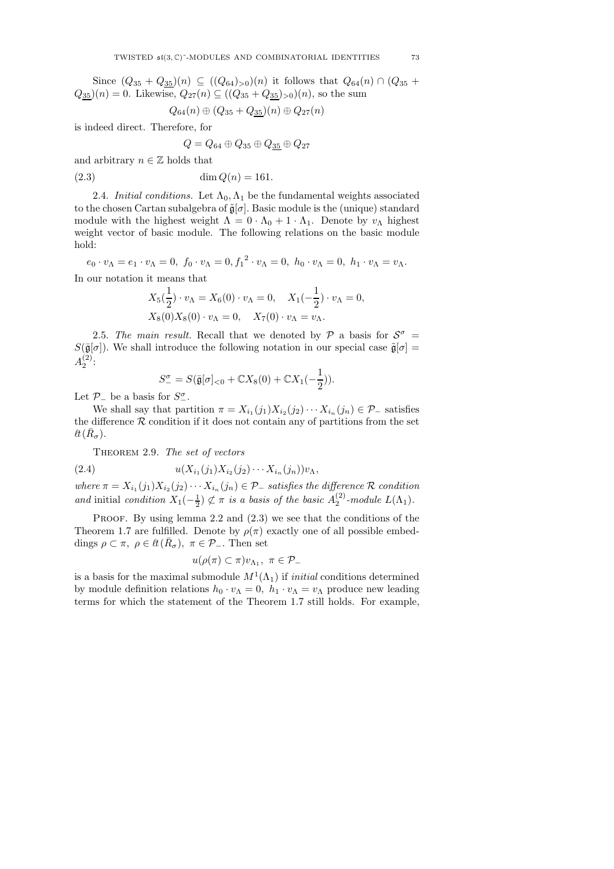Since  $(Q_{35} + Q_{35})(n) \subseteq ((Q_{64})_{>0})(n)$  it follows that  $Q_{64}(n) \cap (Q_{35} + Q_{35})(n)$  $Q_{35}(n) = 0$ . Likewise,  $Q_{27}(n) \subseteq ((Q_{35} + Q_{35})_{>0})(n)$ , so the sum

$$
Q_{64}(n) \oplus (Q_{35} + Q_{35})(n) \oplus Q_{27}(n)
$$

is indeed direct. Therefore, for

$$
Q = Q_{64} \oplus Q_{35} \oplus Q_{35} \oplus Q_{27}
$$

and arbitrary  $n \in \mathbb{Z}$  holds that

(2.3)  $\dim O(n) = 161.$ 

2.4. Initial conditions. Let  $\Lambda_0, \Lambda_1$  be the fundamental weights associated to the chosen Cartan subalgebra of  $\tilde{\mathfrak{g}}[\sigma]$ . Basic module is the (unique) standard module with the highest weight  $\Lambda = 0 \cdot \Lambda_0 + 1 \cdot \Lambda_1$ . Denote by  $v_\Lambda$  highest weight vector of basic module. The following relations on the basic module hold:

 $e_0 \cdot v_\Lambda = e_1 \cdot v_\Lambda = 0, \ f_0 \cdot v_\Lambda = 0, f_1^2 \cdot v_\Lambda = 0, \ h_0 \cdot v_\Lambda = 0, \ h_1 \cdot v_\Lambda = v_\Lambda.$ In our notation it means that

$$
X_5(\frac{1}{2}) \cdot v_{\Lambda} = X_6(0) \cdot v_{\Lambda} = 0, \quad X_1(-\frac{1}{2}) \cdot v_{\Lambda} = 0,
$$
  

$$
X_8(0)X_8(0) \cdot v_{\Lambda} = 0, \quad X_7(0) \cdot v_{\Lambda} = v_{\Lambda}.
$$

2.5. The main result. Recall that we denoted by  $P$  a basis for  $S^{\sigma}$  =  $S(\bar{\mathfrak{g}}[\sigma])$ . We shall introduce the following notation in our special case  $\tilde{\mathfrak{g}}[\sigma] =$  $A_2^{(2)}$ :

$$
S_{-}^{\sigma} = S(\bar{\mathfrak{g}}[\sigma]_{<0} + \mathbb{C}X_8(0) + \mathbb{C}X_1(-\frac{1}{2})).
$$

Let  $\mathcal{P}_-$  be a basis for  $S_-^{\sigma}$ .

We shall say that partition  $\pi = X_{i_1}(j_1)X_{i_2}(j_2)\cdots X_{i_n}(j_n) \in \mathcal{P}_-$  satisfies the difference  $R$  condition if it does not contain any of partitions from the set  $\ell\bar{t}(\bar{R}_{\sigma}).$ 

THEOREM 2.9. The set of vectors

(2.4) 
$$
u(X_{i_1}(j_1)X_{i_2}(j_2)\cdots X_{i_n}(j_n))v_{\Lambda},
$$

where  $\pi = X_{i_1}(j_1)X_{i_2}(j_2)\cdots X_{i_n}(j_n) \in \mathcal{P}_-$  satisfies the difference  $\mathcal R$  condition and initial condition  $X_1(-\frac{1}{2}) \not\subset \pi$  is a basis of the basic  $A_2^{(2)}$ -module  $L(\Lambda_1)$ .

PROOF. By using lemma 2.2 and  $(2.3)$  we see that the conditions of the Theorem 1.7 are fulfilled. Denote by  $\rho(\pi)$  exactly one of all possible embeddings  $\rho \subset \pi$ ,  $\rho \in \ell \bar{R}_{\sigma}$ ,  $\pi \in \mathcal{P}_{-}$ . Then set

$$
u(\rho(\pi) \subset \pi)v_{\Lambda_1}, \ \pi \in \mathcal{P}_-
$$

is a basis for the maximal submodule  $M^1(\Lambda_1)$  if *initial* conditions determined by module definition relations  $h_0 \cdot v_\Lambda = 0$ ,  $h_1 \cdot v_\Lambda = v_\Lambda$  produce new leading terms for which the statement of the Theorem 1.7 still holds. For example,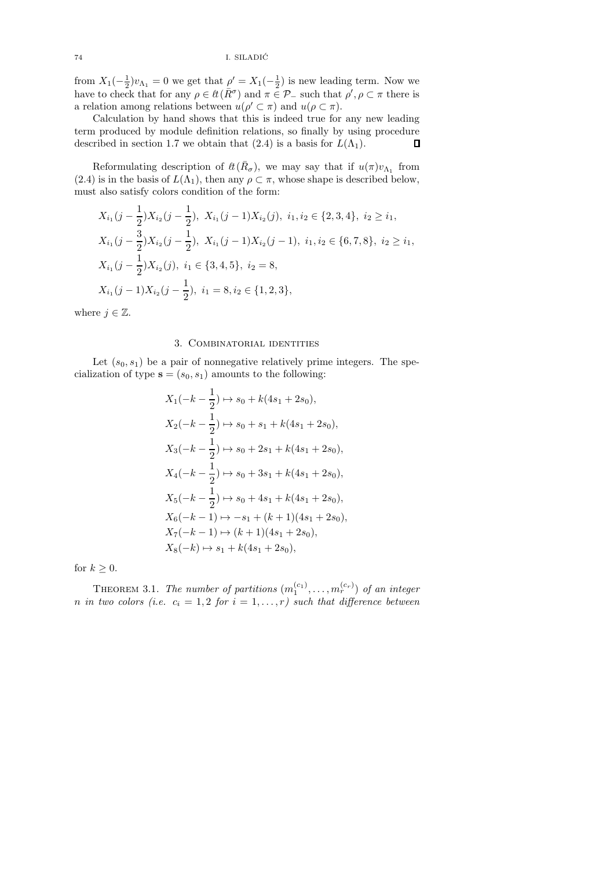from  $X_1(-\frac{1}{2})v_{\Lambda_1} = 0$  we get that  $\rho' = X_1(-\frac{1}{2})$  is new leading term. Now we have to check that for any  $\rho \in \ell \ell(\bar{R}^{\sigma})$  and  $\pi \in \mathcal{P}_-\$  such that  $\rho', \rho \subset \pi$  there is a relation among relations between  $u(\rho' \subset \pi)$  and  $u(\rho \subset \pi)$ .

Calculation by hand shows that this is indeed true for any new leading term produced by module definition relations, so finally by using procedure described in section 1.7 we obtain that (2.4) is a basis for  $L(\Lambda_1)$ .  $\Box$ 

Reformulating description of  $\ell(\bar{R}_{\sigma})$ , we may say that if  $u(\pi)v_{\Lambda_1}$  from (2.4) is in the basis of  $L(\Lambda_1)$ , then any  $\rho \subset \pi$ , whose shape is described below, must also satisfy colors condition of the form:

$$
X_{i_1}(j - \frac{1}{2})X_{i_2}(j - \frac{1}{2}), \ X_{i_1}(j - 1)X_{i_2}(j), \ i_1, i_2 \in \{2, 3, 4\}, \ i_2 \ge i_1,
$$
  
\n
$$
X_{i_1}(j - \frac{3}{2})X_{i_2}(j - \frac{1}{2}), \ X_{i_1}(j - 1)X_{i_2}(j - 1), \ i_1, i_2 \in \{6, 7, 8\}, \ i_2 \ge i_1,
$$
  
\n
$$
X_{i_1}(j - \frac{1}{2})X_{i_2}(j), \ i_1 \in \{3, 4, 5\}, \ i_2 = 8,
$$
  
\n
$$
X_{i_1}(j - 1)X_{i_2}(j - \frac{1}{2}), \ i_1 = 8, i_2 \in \{1, 2, 3\},
$$

where  $j \in \mathbb{Z}$ .

## 3. Combinatorial identities

Let  $(s_0, s_1)$  be a pair of nonnegative relatively prime integers. The specialization of type  $\mathbf{s} = (s_0, s_1)$  amounts to the following:

$$
X_1(-k - \frac{1}{2}) \mapsto s_0 + k(4s_1 + 2s_0),
$$
  
\n
$$
X_2(-k - \frac{1}{2}) \mapsto s_0 + s_1 + k(4s_1 + 2s_0),
$$
  
\n
$$
X_3(-k - \frac{1}{2}) \mapsto s_0 + 2s_1 + k(4s_1 + 2s_0),
$$
  
\n
$$
X_4(-k - \frac{1}{2}) \mapsto s_0 + 3s_1 + k(4s_1 + 2s_0),
$$
  
\n
$$
X_5(-k - \frac{1}{2}) \mapsto s_0 + 4s_1 + k(4s_1 + 2s_0),
$$
  
\n
$$
X_6(-k - 1) \mapsto -s_1 + (k + 1)(4s_1 + 2s_0),
$$
  
\n
$$
X_7(-k - 1) \mapsto (k + 1)(4s_1 + 2s_0),
$$
  
\n
$$
X_8(-k) \mapsto s_1 + k(4s_1 + 2s_0),
$$

for  $k \geq 0$ .

THEOREM 3.1. The number of partitions  $(m_1^{(c_1)}, \ldots, m_r^{(c_r)})$  of an integer n in two colors (i.e.  $c_i = 1, 2$  for  $i = 1, ..., r$ ) such that difference between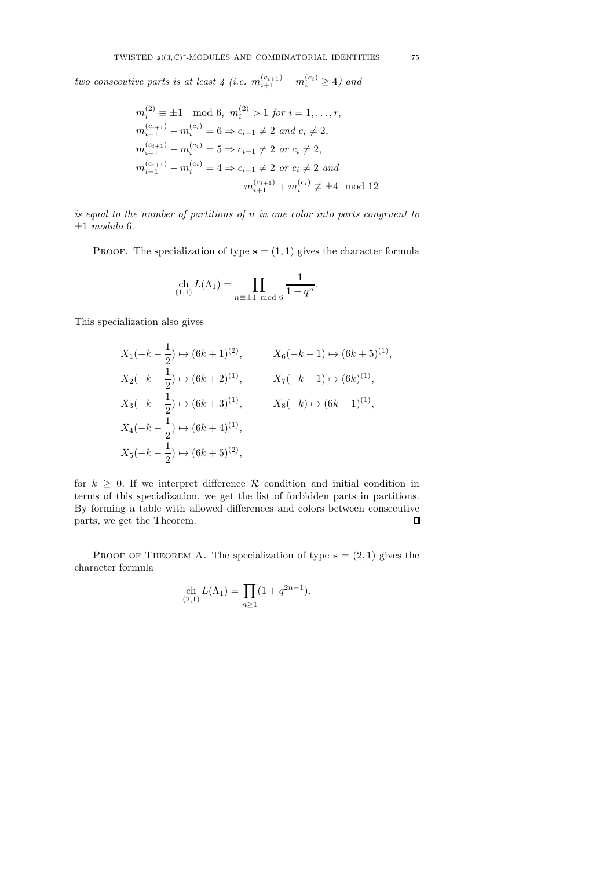two consecutive parts is at least 4 (i.e.  $m_{i+1}^{(c_{i+1})} - m_i^{(c_i)} \ge 4$ ) and

$$
m_i^{(2)} \equiv \pm 1 \mod 6, \ m_i^{(2)} > 1 \text{ for } i = 1, \dots, r,
$$
\n
$$
m_{i+1}^{(c_{i+1})} - m_i^{(c_i)} = 6 \Rightarrow c_{i+1} \neq 2 \text{ and } c_i \neq 2,
$$
\n
$$
m_{i+1}^{(c_{i+1})} - m_i^{(c_i)} = 5 \Rightarrow c_{i+1} \neq 2 \text{ or } c_i \neq 2,
$$
\n
$$
m_{i+1}^{(c_{i+1})} - m_i^{(c_i)} = 4 \Rightarrow c_{i+1} \neq 2 \text{ or } c_i \neq 2 \text{ and}
$$
\n
$$
m_{i+1}^{(c_{i+1})} + m_i^{(c_i)} \neq \pm 4 \mod 12
$$

is equal to the number of partitions of n in one color into parts congruent to  $\pm 1$  modulo 6.

PROOF. The specialization of type  $s = (1, 1)$  gives the character formula

$$
\operatorname{ch}_{(1,1)} L(\Lambda_1) = \prod_{n \equiv \pm 1 \bmod 6} \frac{1}{1 - q^n}.
$$

This specialization also gives

$$
X_1(-k - \frac{1}{2}) \mapsto (6k+1)^{(2)}, \t X_6(-k-1) \mapsto (6k+5)^{(1)},
$$
  
\n
$$
X_2(-k - \frac{1}{2}) \mapsto (6k+2)^{(1)}, \t X_7(-k-1) \mapsto (6k)^{(1)},
$$
  
\n
$$
X_3(-k - \frac{1}{2}) \mapsto (6k+3)^{(1)}, \t X_8(-k) \mapsto (6k+1)^{(1)},
$$
  
\n
$$
X_4(-k - \frac{1}{2}) \mapsto (6k+4)^{(1)},
$$
  
\n
$$
X_5(-k - \frac{1}{2}) \mapsto (6k+5)^{(2)},
$$

for  $k > 0$ . If we interpret difference R condition and initial condition in terms of this specialization, we get the list of forbidden parts in partitions. By forming a table with allowed differences and colors between consecutive parts, we get the Theorem.  $\Box$ 

PROOF OF THEOREM A. The specialization of type  $s = (2, 1)$  gives the character formula

$$
\operatorname*{ch}_{(2,1)} L(\Lambda_1) = \prod_{n \ge 1} (1 + q^{2n-1}).
$$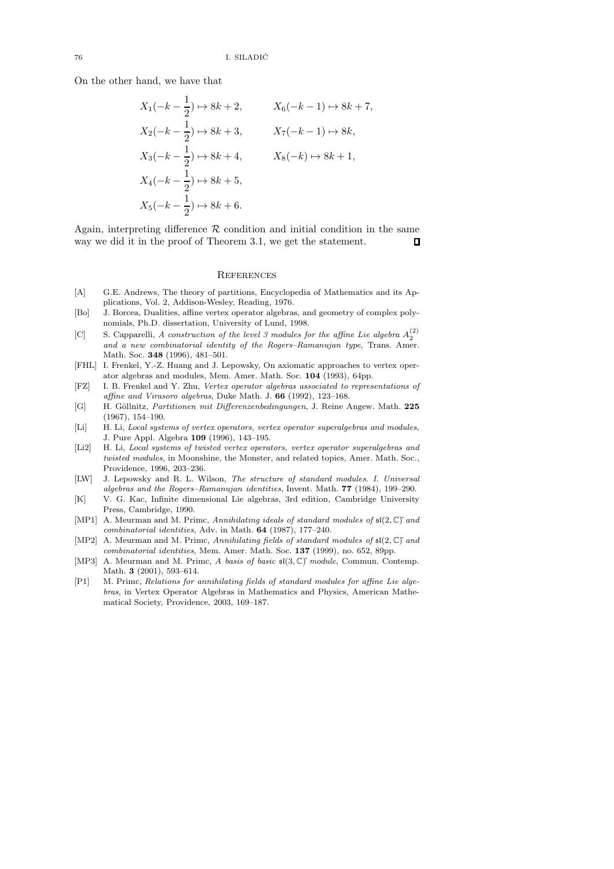On the other hand, we have that

$$
X_1(-k - \frac{1}{2}) \mapsto 8k + 2, \t X_6(-k - 1) \mapsto 8k + 7,
$$
  
\n
$$
X_2(-k - \frac{1}{2}) \mapsto 8k + 3, \t X_7(-k - 1) \mapsto 8k,
$$
  
\n
$$
X_3(-k - \frac{1}{2}) \mapsto 8k + 4, \t X_8(-k) \mapsto 8k + 1,
$$
  
\n
$$
X_4(-k - \frac{1}{2}) \mapsto 8k + 5,
$$
  
\n
$$
X_5(-k - \frac{1}{2}) \mapsto 8k + 6.
$$

Again, interpreting difference  $R$  condition and initial condition in the same way we did it in the proof of Theorem 3.1, we get the statement. way we did it in the proof of Theorem 3.1, we get the statement.

#### **REFERENCES**

- [A] G.E. Andrews, The theory of partitions, Encyclopedia of Mathematics and its Applications, Vol. 2, Addison-Wesley, Reading, 1976.
- [Bo] J. Borcea, Dualities, affine vertex operator algebras, and geometry of complex polynomials, Ph.D. dissertation, University of Lund, 1998.
- [C] S. Capparelli, A construction of the level 3 modules for the affine Lie algebra  $A_2^{(2)}$ and a new combinatorial identity of the Rogers–Ramanujan type, Trans. Amer. Math. Soc. 348 (1996), 481–501.
- [FHL] I. Frenkel, Y.-Z. Huang and J. Lepowsky, On axiomatic approaches to vertex operator algebras and modules, Mem. Amer. Math. Soc. 104 (1993), 64pp.
- [FZ] I. B. Frenkel and Y. Zhu, Vertex operator algebras associated to representations of affine and Virasoro algebras, Duke Math. J. 66 (1992), 123–168.
- [G] H. Göllnitz, Partitionen mit Differenzenbedingungen, J. Reine Angew. Math. 225 (1967), 154–190.
- [Li] H. Li, Local systems of vertex operators, vertex operator superalgebras and modules, J. Pure Appl. Algebra 109 (1996), 143–195.
- [Li2] H. Li, Local systems of twisted vertex operators, vertex operator superalgebras and twisted modules, in Moonshine, the Monster, and related topics, Amer. Math. Soc., Providence, 1996, 203–236.
- [LW] J. Lepowsky and R. L. Wilson, The structure of standard modules. I. Universal algebras and the Rogers–Ramanujan identities, Invent. Math. 77 (1984), 199–290.
- [K] V. G. Kac, Infinite dimensional Lie algebras, 3rd edition, Cambridge University Press, Cambridge, 1990.
- [MP1] A. Meurman and M. Primc, Annihilating ideals of standard modules of  $\mathfrak{sl}(2,\mathbb{C})^{\dagger}$  and combinatorial identities, Adv. in Math. 64 (1987), 177–240.
- [MP2] A. Meurman and M. Primc, Annihilating fields of standard modules of  $\mathfrak{sl}(2,\mathbb{C})^n$  and combinatorial identities, Mem. Amer. Math. Soc. 137 (1999), no. 652, 89pp.
- [MP3] A. Meurman and M. Primc, A basis of basic  $\mathfrak{sl}(3,\mathbb{C})^r$  module, Commun. Contemp. Math. 3 (2001), 593–614.
- [P1] M. Primc, Relations for annihilating fields of standard modules for affine Lie algebras, in Vertex Operator Algebras in Mathematics and Physics, American Mathematical Society, Providence, 2003, 169–187.